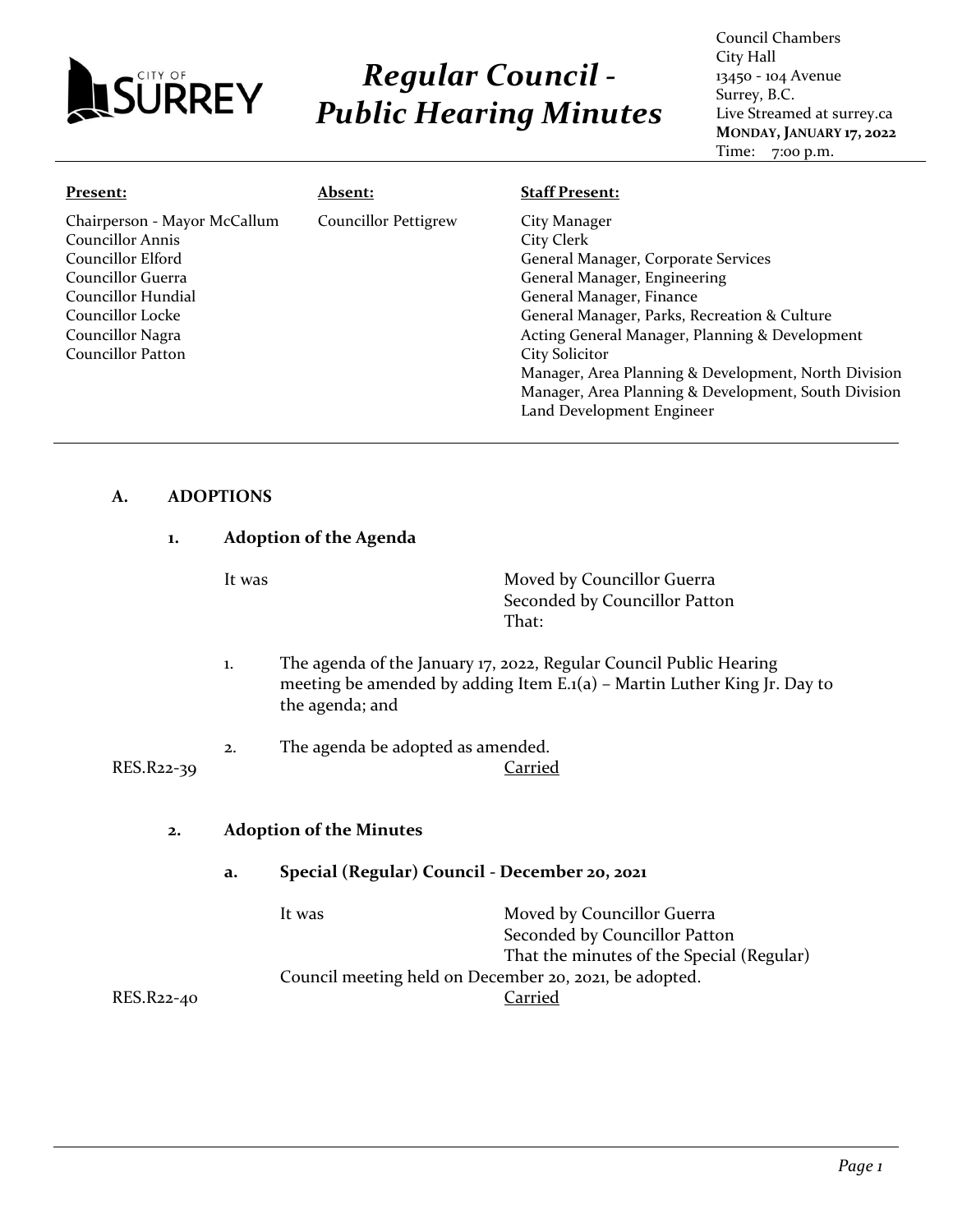

# *Regular Council - Public Hearing Minutes*

Council Chambers City Hall 13450 - 104 Avenue Surrey, B.C. Live Streamed at surrey.ca **MONDAY, JANUARY 17, 2022** Time: 7:00 p.m.

| Present:                                                                                                                                                                      | <u> Absent:</u>             | <b>Staff Present:</b>                                                                                                                                                                                                                                                                                                                                                    |
|-------------------------------------------------------------------------------------------------------------------------------------------------------------------------------|-----------------------------|--------------------------------------------------------------------------------------------------------------------------------------------------------------------------------------------------------------------------------------------------------------------------------------------------------------------------------------------------------------------------|
| Chairperson - Mayor McCallum<br>Councillor Annis<br>Councillor Elford<br>Councillor Guerra<br>Councillor Hundial<br>Councillor Locke<br>Councillor Nagra<br>Councillor Patton | <b>Councillor Pettigrew</b> | City Manager<br>City Clerk<br>General Manager, Corporate Services<br>General Manager, Engineering<br>General Manager, Finance<br>General Manager, Parks, Recreation & Culture<br>Acting General Manager, Planning & Development<br><b>City Solicitor</b><br>Manager, Area Planning & Development, North Division<br>Manager, Area Planning & Development, South Division |
|                                                                                                                                                                               |                             | Land Development Engineer                                                                                                                                                                                                                                                                                                                                                |

#### **A. ADOPTIONS**

| 1.         | <b>Adoption of the Agenda</b> |                                                        |                                                                                                                                                        |
|------------|-------------------------------|--------------------------------------------------------|--------------------------------------------------------------------------------------------------------------------------------------------------------|
|            | It was                        |                                                        | Moved by Councillor Guerra<br>Seconded by Councillor Patton<br>That:                                                                                   |
|            | $\mathbf{1}$ .                | the agenda; and                                        | The agenda of the January 17, 2022, Regular Council Public Hearing<br>meeting be amended by adding Item $E \cdot I(a)$ – Martin Luther King Jr. Day to |
| RES.R22-39 | 2.                            | The agenda be adopted as amended.                      | <b>Carried</b>                                                                                                                                         |
| 2.         |                               | <b>Adoption of the Minutes</b>                         |                                                                                                                                                        |
|            | a.                            | Special (Regular) Council - December 20, 2021          |                                                                                                                                                        |
|            |                               | It was                                                 | Moved by Councillor Guerra<br>Seconded by Councillor Patton                                                                                            |
| RES.R22-40 |                               | Council meeting held on December 20, 2021, be adopted. | That the minutes of the Special (Regular)<br>Carried                                                                                                   |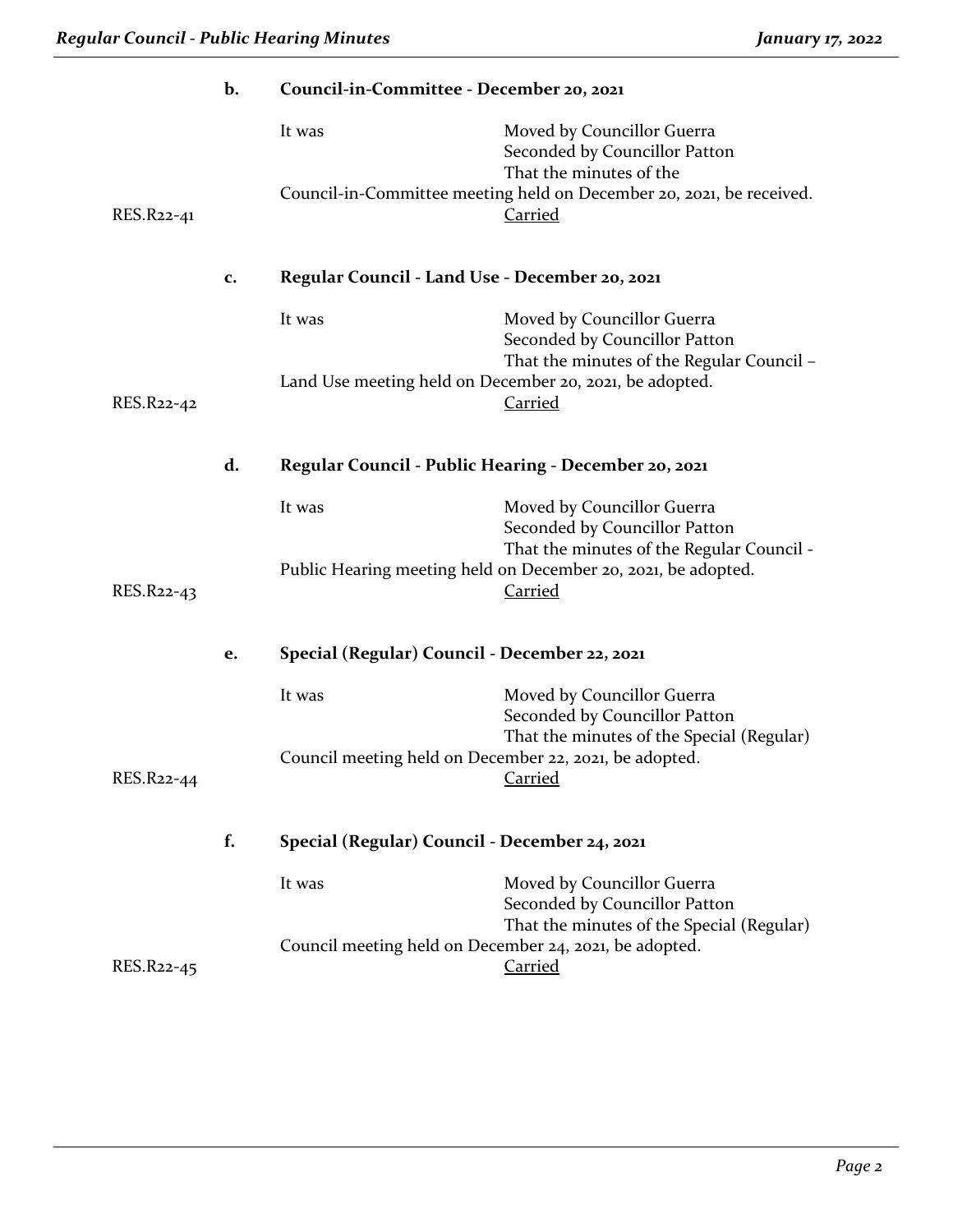|            | b. | Council-in-Committee - December 20, 2021               |                                                                                                          |
|------------|----|--------------------------------------------------------|----------------------------------------------------------------------------------------------------------|
|            |    | It was                                                 | Moved by Councillor Guerra<br>Seconded by Councillor Patton<br>That the minutes of the                   |
| RES.R22-41 |    |                                                        | Council-in-Committee meeting held on December 20, 2021, be received.<br><b>Carried</b>                   |
|            | c. | Regular Council - Land Use - December 20, 2021         |                                                                                                          |
|            |    | It was                                                 | Moved by Councillor Guerra<br>Seconded by Councillor Patton<br>That the minutes of the Regular Council - |
| RES.R22-42 |    |                                                        | Land Use meeting held on December 20, 2021, be adopted.<br><b>Carried</b>                                |
|            | d. | Regular Council - Public Hearing - December 20, 2021   |                                                                                                          |
|            |    | It was                                                 | Moved by Councillor Guerra<br>Seconded by Councillor Patton<br>That the minutes of the Regular Council - |
| RES.R22-43 |    |                                                        | Public Hearing meeting held on December 20, 2021, be adopted.<br><b>Carried</b>                          |
|            | e. | Special (Regular) Council - December 22, 2021          |                                                                                                          |
|            |    | It was                                                 | Moved by Councillor Guerra<br>Seconded by Councillor Patton<br>That the minutes of the Special (Regular) |
| RES.R22-44 |    | Council meeting held on December 22, 2021, be adopted. | <b>Carried</b>                                                                                           |
|            | f. | Special (Regular) Council - December 24, 2021          |                                                                                                          |
|            |    | It was                                                 | Moved by Councillor Guerra<br>Seconded by Councillor Patton<br>That the minutes of the Special (Regular) |
| RES.R22-45 |    | Council meeting held on December 24, 2021, be adopted. | Carried                                                                                                  |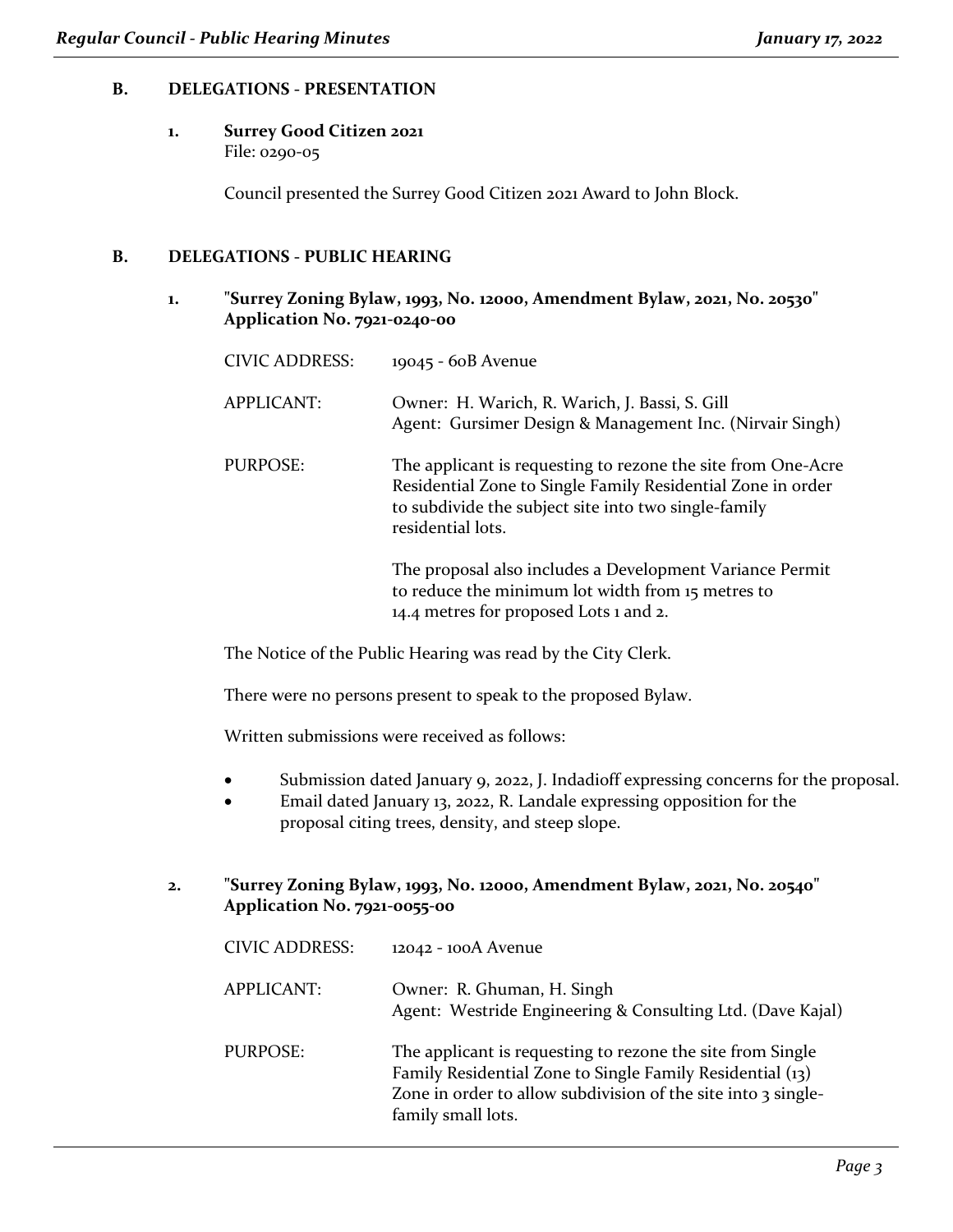#### **B. DELEGATIONS - PRESENTATION**

## **1. Surrey Good Citizen 2021**

File: 0290-05

Council presented the Surrey Good Citizen 2021 Award to John Block.

#### **B. DELEGATIONS - PUBLIC HEARING**

**1. "Surrey Zoning Bylaw, 1993, No. 12000, Amendment Bylaw, 2021, No. 20530" Application No. 7921-0240-00**

| <b>CIVIC ADDRESS:</b> | 19045 - 60B Avenue                                                                                                                                                                                       |
|-----------------------|----------------------------------------------------------------------------------------------------------------------------------------------------------------------------------------------------------|
| <b>APPLICANT:</b>     | Owner: H. Warich, R. Warich, J. Bassi, S. Gill<br>Agent: Gursimer Design & Management Inc. (Nirvair Singh)                                                                                               |
| PURPOSE:              | The applicant is requesting to rezone the site from One-Acre<br>Residential Zone to Single Family Residential Zone in order<br>to subdivide the subject site into two single-family<br>residential lots. |
|                       | The proposal also includes a Development Variance Permit<br>to reduce the minimum lot width from 15 metres to<br>14.4 metres for proposed Lots 1 and 2.                                                  |

The Notice of the Public Hearing was read by the City Clerk.

There were no persons present to speak to the proposed Bylaw.

Written submissions were received as follows:

- Submission dated January 9, 2022, J. Indadioff expressing concerns for the proposal.
- Email dated January 13, 2022, R. Landale expressing opposition for the proposal citing trees, density, and steep slope.

#### **2. "Surrey Zoning Bylaw, 1993, No. 12000, Amendment Bylaw, 2021, No. 20540" Application No. 7921-0055-00**

| <b>CIVIC ADDRESS:</b> | 12042 - 100A Avenue                                                                                                                                                                                            |
|-----------------------|----------------------------------------------------------------------------------------------------------------------------------------------------------------------------------------------------------------|
| APPLICANT:            | Owner: R. Ghuman, H. Singh<br>Agent: Westride Engineering & Consulting Ltd. (Dave Kajal)                                                                                                                       |
| PURPOSE:              | The applicant is requesting to rezone the site from Single<br>Family Residential Zone to Single Family Residential (13)<br>Zone in order to allow subdivision of the site into 3 single-<br>family small lots. |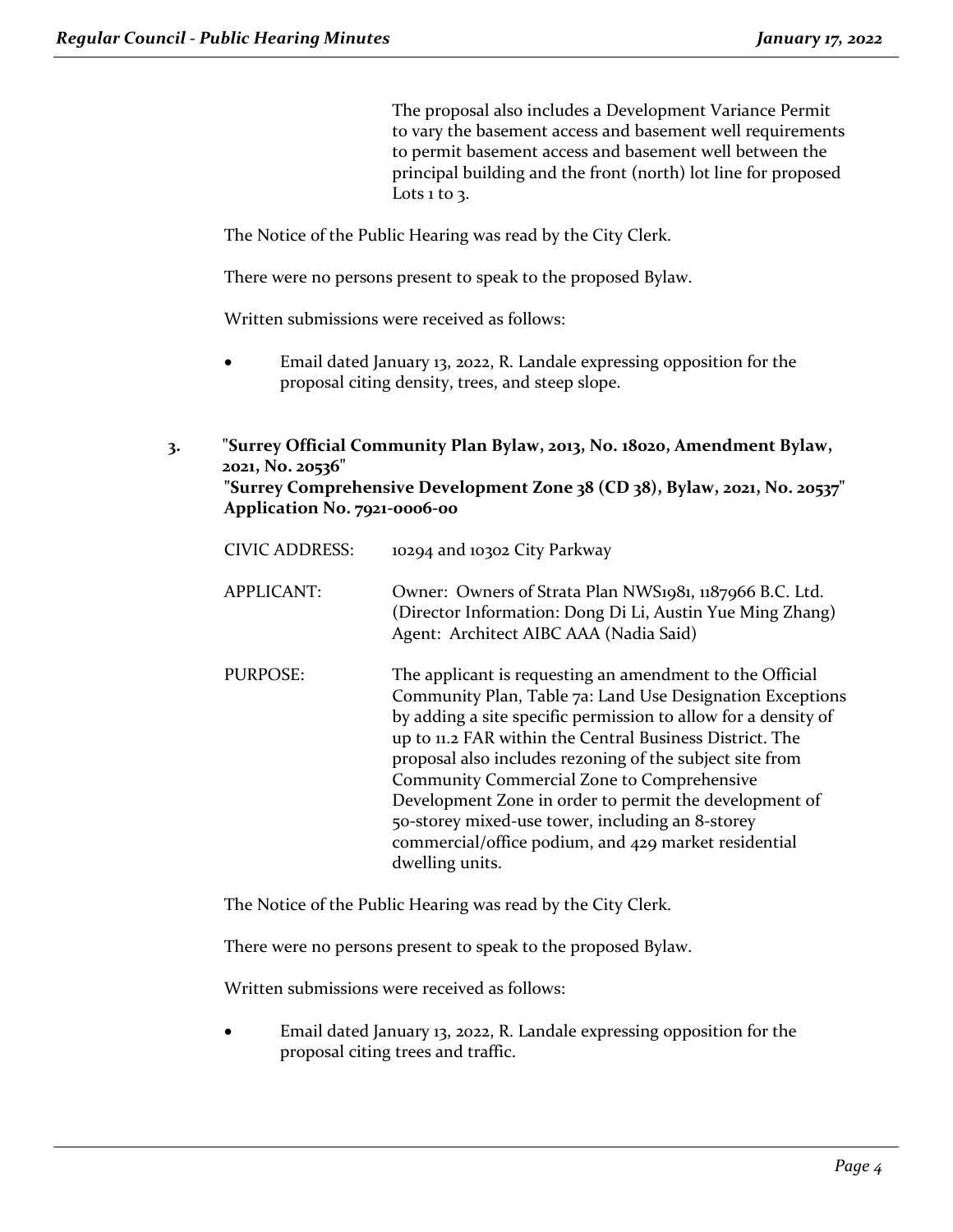The proposal also includes a Development Variance Permit to vary the basement access and basement well requirements to permit basement access and basement well between the principal building and the front (north) lot line for proposed Lots  $1$  to  $3$ .

The Notice of the Public Hearing was read by the City Clerk.

There were no persons present to speak to the proposed Bylaw.

Written submissions were received as follows:

- Email dated January 13, 2022, R. Landale expressing opposition for the proposal citing density, trees, and steep slope.
- **3. "Surrey Official Community Plan Bylaw, 2013, No. 18020, Amendment Bylaw, 2021, No. 20536"**

```
"Surrey Comprehensive Development Zone 38 (CD 38), Bylaw, 2021, No. 20537"
Application No. 7921-0006-00
```

| CIVIC ADDRESS:    | 10294 and 10302 City Parkway                                                                                                                                                                                                                                                                                                                                                                                                                                                                                                                           |
|-------------------|--------------------------------------------------------------------------------------------------------------------------------------------------------------------------------------------------------------------------------------------------------------------------------------------------------------------------------------------------------------------------------------------------------------------------------------------------------------------------------------------------------------------------------------------------------|
| <b>APPLICANT:</b> | Owner: Owners of Strata Plan NWS1981, 1187966 B.C. Ltd.<br>(Director Information: Dong Di Li, Austin Yue Ming Zhang)<br>Agent: Architect AIBC AAA (Nadia Said)                                                                                                                                                                                                                                                                                                                                                                                         |
| PURPOSE:          | The applicant is requesting an amendment to the Official<br>Community Plan, Table 7a: Land Use Designation Exceptions<br>by adding a site specific permission to allow for a density of<br>up to 11.2 FAR within the Central Business District. The<br>proposal also includes rezoning of the subject site from<br>Community Commercial Zone to Comprehensive<br>Development Zone in order to permit the development of<br>50-storey mixed-use tower, including an 8-storey<br>commercial/office podium, and 429 market residential<br>dwelling units. |

The Notice of the Public Hearing was read by the City Clerk.

There were no persons present to speak to the proposed Bylaw.

Written submissions were received as follows:

• Email dated January 13, 2022, R. Landale expressing opposition for the proposal citing trees and traffic.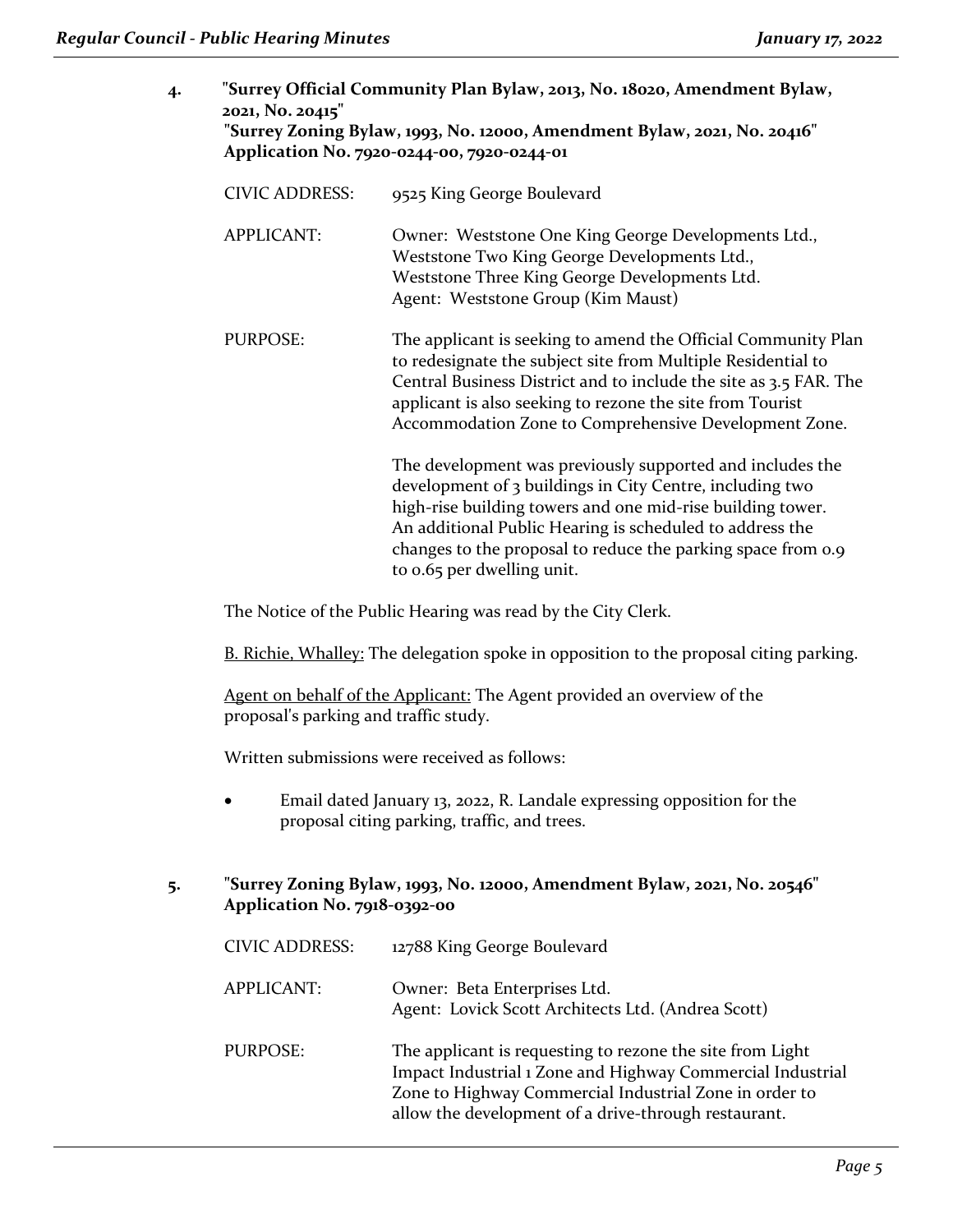| 4. | "Surrey Official Community Plan Bylaw, 2013, No. 18020, Amendment Bylaw,<br>2021, No. 20415"<br>"Surrey Zoning Bylaw, 1993, No. 12000, Amendment Bylaw, 2021, No. 20416"<br>Application No. 7920-0244-00, 7920-0244-01 |                                                                                                                                                                                                                                                                                                                                               |
|----|------------------------------------------------------------------------------------------------------------------------------------------------------------------------------------------------------------------------|-----------------------------------------------------------------------------------------------------------------------------------------------------------------------------------------------------------------------------------------------------------------------------------------------------------------------------------------------|
|    | <b>CIVIC ADDRESS:</b>                                                                                                                                                                                                  | 9525 King George Boulevard                                                                                                                                                                                                                                                                                                                    |
|    | <b>APPLICANT:</b>                                                                                                                                                                                                      | Owner: Weststone One King George Developments Ltd.,<br>Weststone Two King George Developments Ltd.,<br>Weststone Three King George Developments Ltd.<br>Agent: Weststone Group (Kim Maust)                                                                                                                                                    |
|    | <b>PURPOSE:</b>                                                                                                                                                                                                        | The applicant is seeking to amend the Official Community Plan<br>to redesignate the subject site from Multiple Residential to<br>Central Business District and to include the site as 3.5 FAR. The<br>applicant is also seeking to rezone the site from Tourist<br>Accommodation Zone to Comprehensive Development Zone.                      |
|    |                                                                                                                                                                                                                        | The development was previously supported and includes the<br>development of 3 buildings in City Centre, including two<br>high-rise building towers and one mid-rise building tower.<br>An additional Public Hearing is scheduled to address the<br>changes to the proposal to reduce the parking space from 0.9<br>to 0.65 per dwelling unit. |

The Notice of the Public Hearing was read by the City Clerk.

B. Richie, Whalley: The delegation spoke in opposition to the proposal citing parking.

Agent on behalf of the Applicant: The Agent provided an overview of the proposal's parking and traffic study.

Written submissions were received as follows:

• Email dated January 13, 2022, R. Landale expressing opposition for the proposal citing parking, traffic, and trees.

**5. "Surrey Zoning Bylaw, 1993, No. 12000, Amendment Bylaw, 2021, No. 20546" Application No. 7918-0392-00**

| <b>CIVIC ADDRESS:</b> | 12788 King George Boulevard                                                                                                                                                                                                               |
|-----------------------|-------------------------------------------------------------------------------------------------------------------------------------------------------------------------------------------------------------------------------------------|
| <b>APPLICANT:</b>     | Owner: Beta Enterprises Ltd.<br>Agent: Lovick Scott Architects Ltd. (Andrea Scott)                                                                                                                                                        |
| PURPOSE:              | The applicant is requesting to rezone the site from Light<br>Impact Industrial 1 Zone and Highway Commercial Industrial<br>Zone to Highway Commercial Industrial Zone in order to<br>allow the development of a drive-through restaurant. |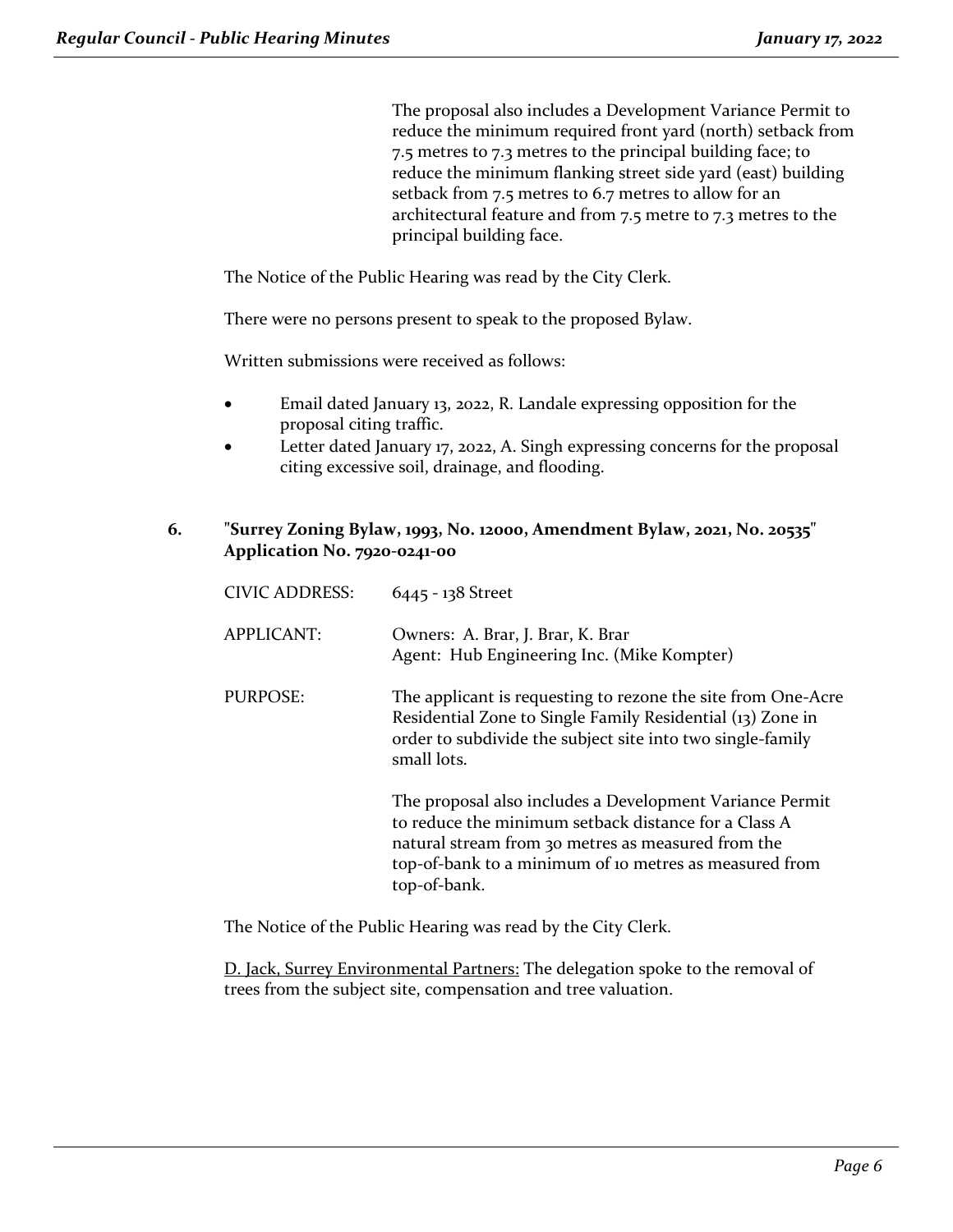The proposal also includes a Development Variance Permit to reduce the minimum required front yard (north) setback from 7.5 metres to 7.3 metres to the principal building face; to reduce the minimum flanking street side yard (east) building setback from 7.5 metres to 6.7 metres to allow for an architectural feature and from 7.5 metre to 7.3 metres to the principal building face.

The Notice of the Public Hearing was read by the City Clerk.

There were no persons present to speak to the proposed Bylaw.

Written submissions were received as follows:

- Email dated January 13, 2022, R. Landale expressing opposition for the proposal citing traffic.
- Letter dated January 17, 2022, A. Singh expressing concerns for the proposal citing excessive soil, drainage, and flooding.
- **6. "Surrey Zoning Bylaw, 1993, No. 12000, Amendment Bylaw, 2021, No. 20535" Application No. 7920-0241-00**

| <b>CIVIC ADDRESS:</b> | 6445 - 138 Street                                                                                                                                                                                                                                |
|-----------------------|--------------------------------------------------------------------------------------------------------------------------------------------------------------------------------------------------------------------------------------------------|
| <b>APPLICANT:</b>     | Owners: A. Brar, J. Brar, K. Brar<br>Agent: Hub Engineering Inc. (Mike Kompter)                                                                                                                                                                  |
| PURPOSE:              | The applicant is requesting to rezone the site from One-Acre<br>Residential Zone to Single Family Residential (13) Zone in<br>order to subdivide the subject site into two single-family<br>small lots.                                          |
|                       | The proposal also includes a Development Variance Permit<br>to reduce the minimum setback distance for a Class A<br>natural stream from 30 metres as measured from the<br>top-of-bank to a minimum of io metres as measured from<br>top-of-bank. |

The Notice of the Public Hearing was read by the City Clerk.

D. Jack, Surrey Environmental Partners: The delegation spoke to the removal of trees from the subject site, compensation and tree valuation.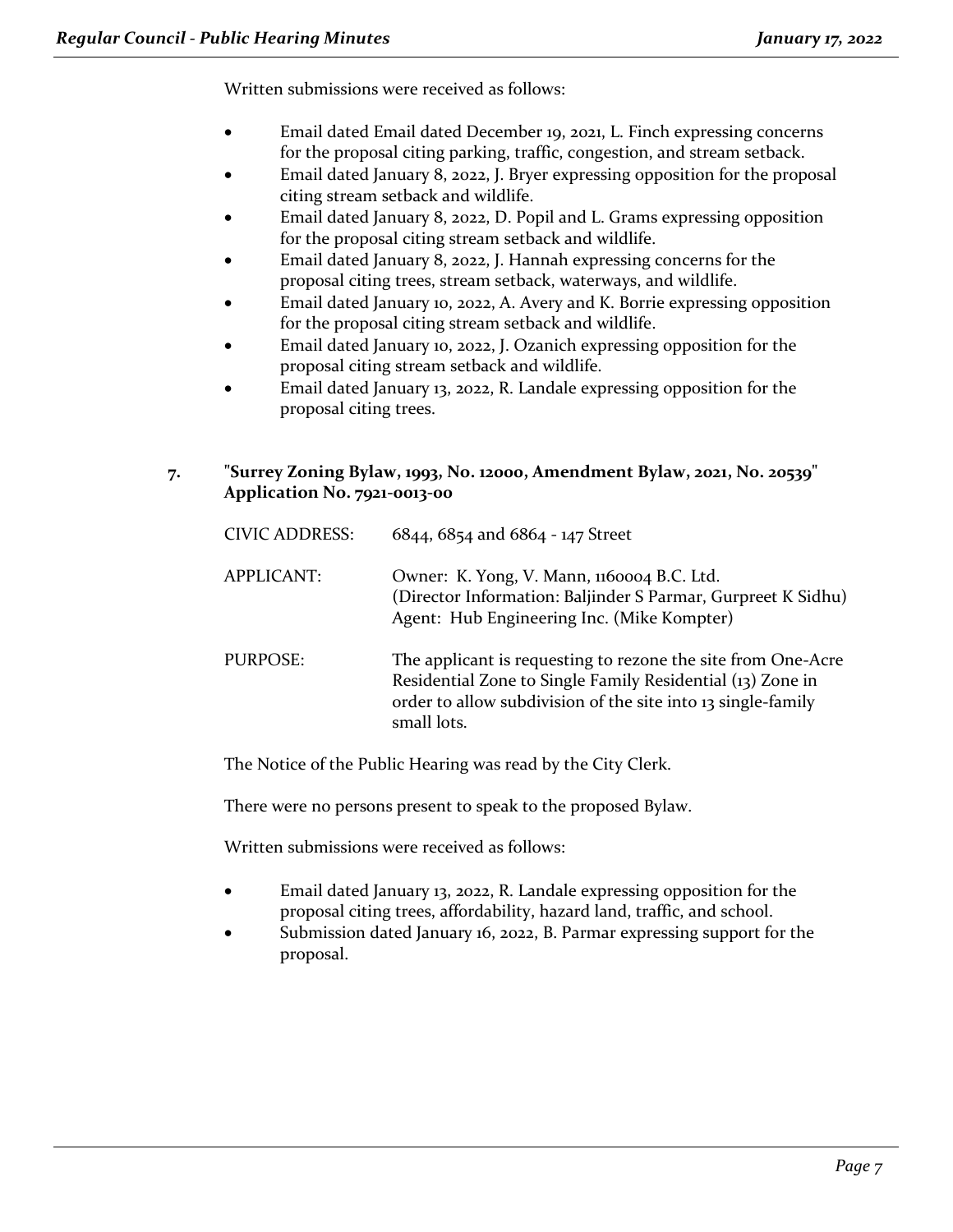Written submissions were received as follows:

- Email dated Email dated December 19, 2021, L. Finch expressing concerns for the proposal citing parking, traffic, congestion, and stream setback.
- Email dated January 8, 2022, J. Bryer expressing opposition for the proposal citing stream setback and wildlife.
- Email dated January 8, 2022, D. Popil and L. Grams expressing opposition for the proposal citing stream setback and wildlife.
- Email dated January 8, 2022, J. Hannah expressing concerns for the proposal citing trees, stream setback, waterways, and wildlife.
- Email dated January 10, 2022, A. Avery and K. Borrie expressing opposition for the proposal citing stream setback and wildlife.
- Email dated January 10, 2022, J. Ozanich expressing opposition for the proposal citing stream setback and wildlife.
- Email dated January 13, 2022, R. Landale expressing opposition for the proposal citing trees.

#### **7. "Surrey Zoning Bylaw, 1993, No. 12000, Amendment Bylaw, 2021, No. 20539" Application No. 7921-0013-00**

| <b>CIVIC ADDRESS:</b> | 6844, 6854 and 6864 - 147 Street                                                                                                                                                                          |
|-----------------------|-----------------------------------------------------------------------------------------------------------------------------------------------------------------------------------------------------------|
| APPLICANT:            | Owner: K. Yong, V. Mann, 1160004 B.C. Ltd.<br>(Director Information: Baljinder S Parmar, Gurpreet K Sidhu)<br>Agent: Hub Engineering Inc. (Mike Kompter)                                                  |
| PURPOSE:              | The applicant is requesting to rezone the site from One-Acre<br>Residential Zone to Single Family Residential (13) Zone in<br>order to allow subdivision of the site into 13 single-family<br>small lots. |

The Notice of the Public Hearing was read by the City Clerk.

There were no persons present to speak to the proposed Bylaw.

Written submissions were received as follows:

- Email dated January 13, 2022, R. Landale expressing opposition for the proposal citing trees, affordability, hazard land, traffic, and school.
- Submission dated January 16, 2022, B. Parmar expressing support for the proposal.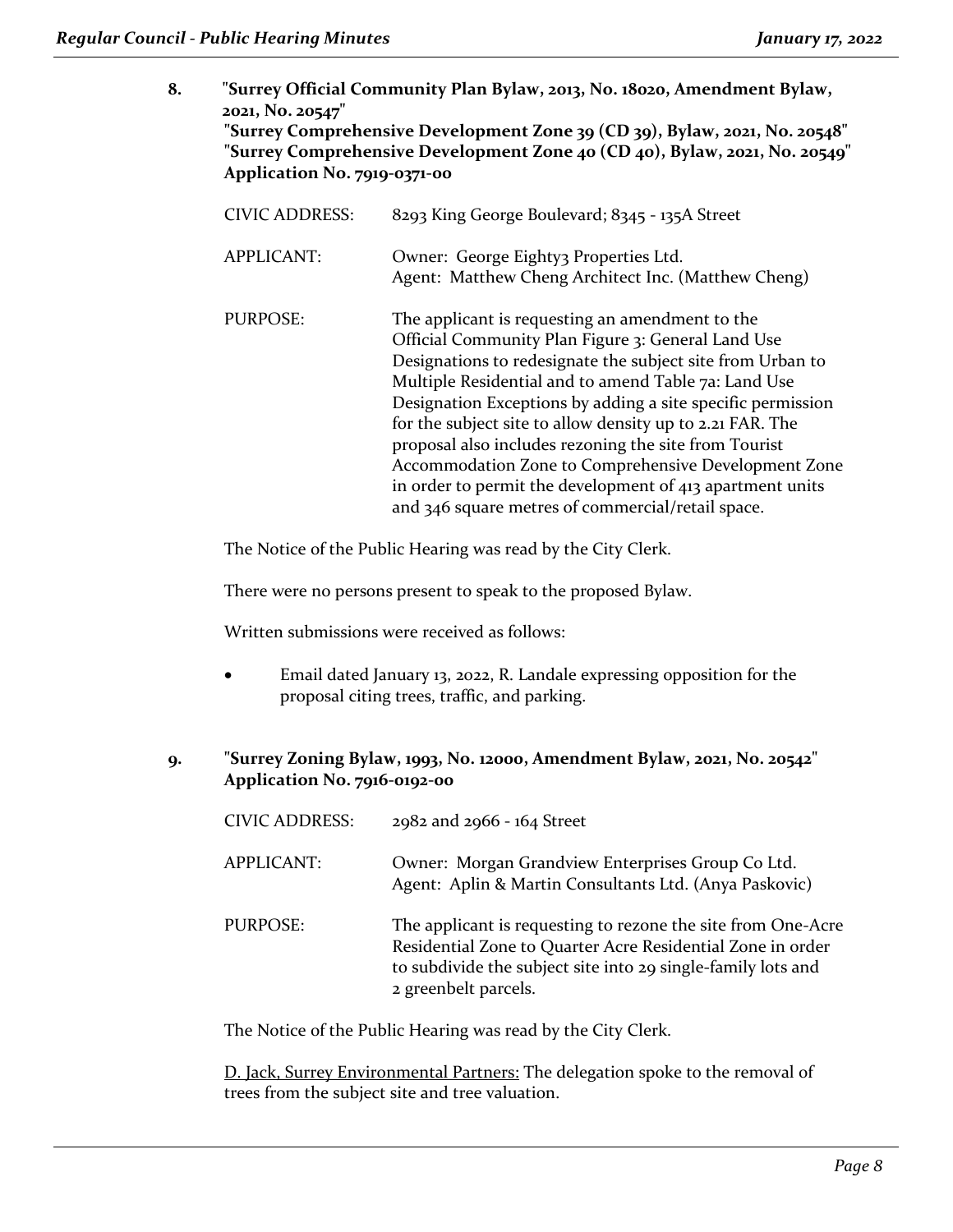**8. "Surrey Official Community Plan Bylaw, 2013, No. 18020, Amendment Bylaw, 2021, No. 20547" "Surrey Comprehensive Development Zone 39 (CD 39), Bylaw, 2021, No. 20548" "Surrey Comprehensive Development Zone 40 (CD 40), Bylaw, 2021, No. 20549" Application No. 7919-0371-00**

| <b>CIVIC ADDRESS:</b> | 8293 King George Boulevard; 8345 - 135A Street                                                                                                                                                                                                                                                                                                                                                                                                                                                                                                                                             |
|-----------------------|--------------------------------------------------------------------------------------------------------------------------------------------------------------------------------------------------------------------------------------------------------------------------------------------------------------------------------------------------------------------------------------------------------------------------------------------------------------------------------------------------------------------------------------------------------------------------------------------|
| <b>APPLICANT:</b>     | Owner: George Eighty3 Properties Ltd.<br>Agent: Matthew Cheng Architect Inc. (Matthew Cheng)                                                                                                                                                                                                                                                                                                                                                                                                                                                                                               |
| PURPOSE:              | The applicant is requesting an amendment to the<br>Official Community Plan Figure 3: General Land Use<br>Designations to redesignate the subject site from Urban to<br>Multiple Residential and to amend Table 7a: Land Use<br>Designation Exceptions by adding a site specific permission<br>for the subject site to allow density up to 2.21 FAR. The<br>proposal also includes rezoning the site from Tourist<br>Accommodation Zone to Comprehensive Development Zone<br>in order to permit the development of 413 apartment units<br>and 346 square metres of commercial/retail space. |

The Notice of the Public Hearing was read by the City Clerk.

There were no persons present to speak to the proposed Bylaw.

Written submissions were received as follows:

• Email dated January 13, 2022, R. Landale expressing opposition for the proposal citing trees, traffic, and parking.

#### **9. "Surrey Zoning Bylaw, 1993, No. 12000, Amendment Bylaw, 2021, No. 20542" Application No. 7916-0192-00**

- CIVIC ADDRESS: 2982 and 2966 164 Street
- APPLICANT: Owner: Morgan Grandview Enterprises Group Co Ltd. Agent: Aplin & Martin Consultants Ltd. (Anya Paskovic)
- PURPOSE: The applicant is requesting to rezone the site from One-Acre Residential Zone to Quarter Acre Residential Zone in order to subdivide the subject site into 29 single-family lots and 2 greenbelt parcels.

The Notice of the Public Hearing was read by the City Clerk.

D. Jack, Surrey Environmental Partners: The delegation spoke to the removal of trees from the subject site and tree valuation.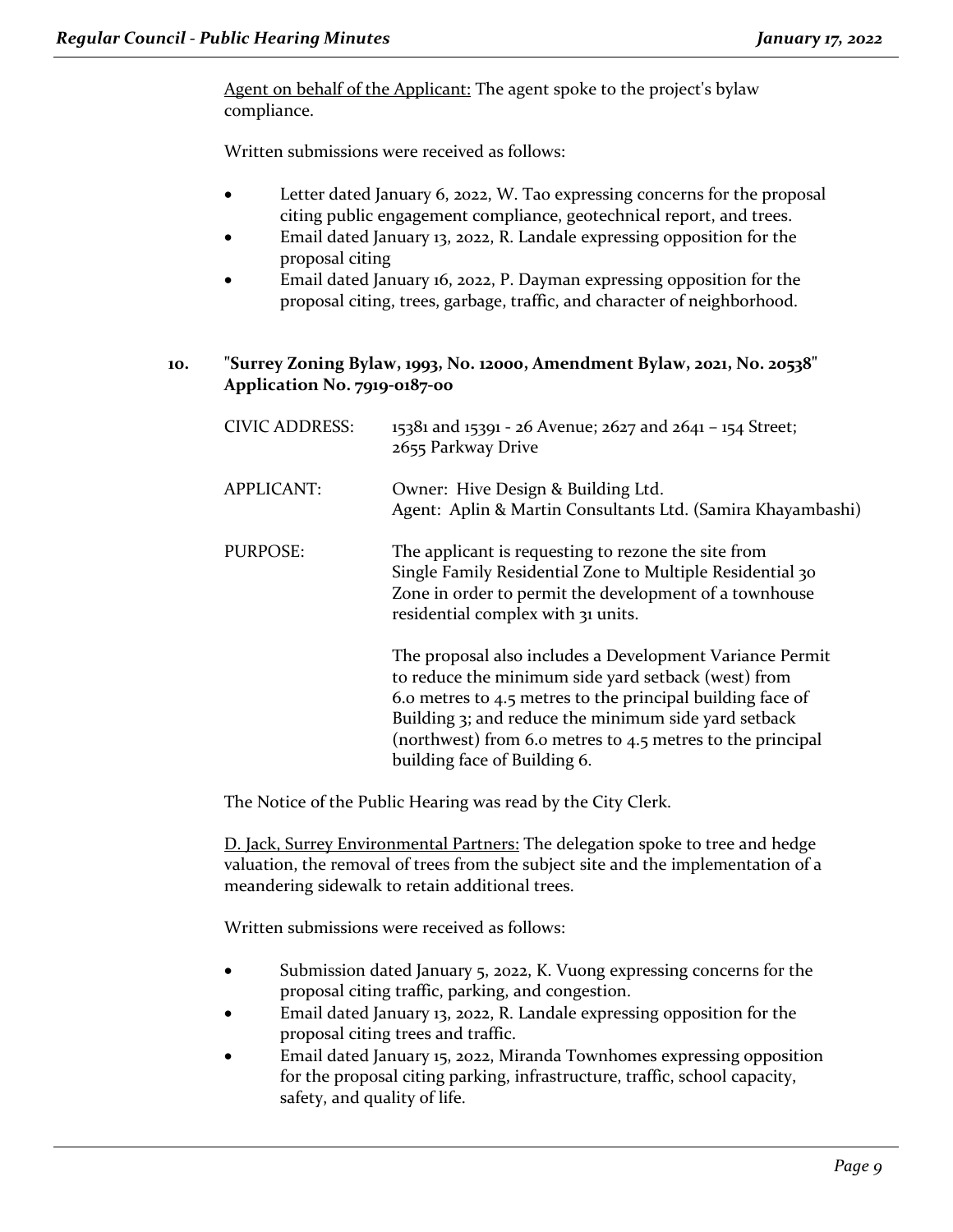Agent on behalf of the Applicant: The agent spoke to the project's bylaw compliance.

Written submissions were received as follows:

- Letter dated January 6, 2022, W. Tao expressing concerns for the proposal citing public engagement compliance, geotechnical report, and trees.
- Email dated January 13, 2022, R. Landale expressing opposition for the proposal citing
- Email dated January 16, 2022, P. Dayman expressing opposition for the proposal citing, trees, garbage, traffic, and character of neighborhood.
- **10. "Surrey Zoning Bylaw, 1993, No. 12000, Amendment Bylaw, 2021, No. 20538" Application No. 7919-0187-00**

| <b>CIVIC ADDRESS:</b> | 15381 and 15391 - 26 Avenue; 2627 and 2641 - 154 Street;<br>2655 Parkway Drive                                                                                                                                                                                                                                                      |
|-----------------------|-------------------------------------------------------------------------------------------------------------------------------------------------------------------------------------------------------------------------------------------------------------------------------------------------------------------------------------|
| <b>APPLICANT:</b>     | Owner: Hive Design & Building Ltd.<br>Agent: Aplin & Martin Consultants Ltd. (Samira Khayambashi)                                                                                                                                                                                                                                   |
| <b>PURPOSE:</b>       | The applicant is requesting to rezone the site from<br>Single Family Residential Zone to Multiple Residential 30<br>Zone in order to permit the development of a townhouse<br>residential complex with 31 units.                                                                                                                    |
|                       | The proposal also includes a Development Variance Permit<br>to reduce the minimum side yard setback (west) from<br>6.0 metres to 4.5 metres to the principal building face of<br>Building 3; and reduce the minimum side yard setback<br>(northwest) from 6.0 metres to 4.5 metres to the principal<br>building face of Building 6. |

The Notice of the Public Hearing was read by the City Clerk.

D. Jack, Surrey Environmental Partners: The delegation spoke to tree and hedge valuation, the removal of trees from the subject site and the implementation of a meandering sidewalk to retain additional trees.

Written submissions were received as follows:

- Submission dated January 5, 2022, K. Vuong expressing concerns for the proposal citing traffic, parking, and congestion.
- Email dated January 13, 2022, R. Landale expressing opposition for the proposal citing trees and traffic.
- Email dated January 15, 2022, Miranda Townhomes expressing opposition for the proposal citing parking, infrastructure, traffic, school capacity, safety, and quality of life.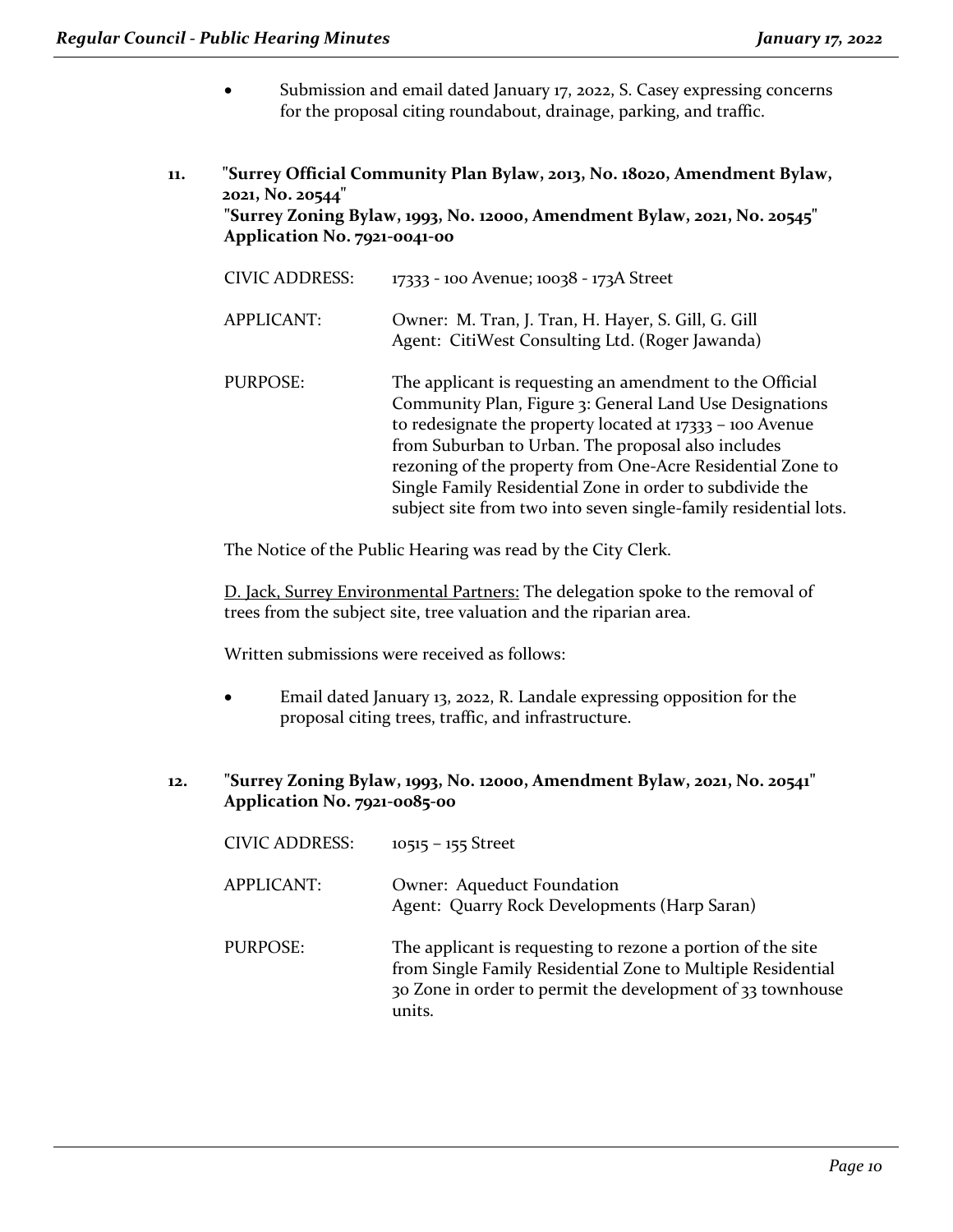- Submission and email dated January 17, 2022, S. Casey expressing concerns for the proposal citing roundabout, drainage, parking, and traffic.
- **11. "Surrey Official Community Plan Bylaw, 2013, No. 18020, Amendment Bylaw, 2021, No. 20544" "Surrey Zoning Bylaw, 1993, No. 12000, Amendment Bylaw, 2021, No. 20545" Application No. 7921-0041-00**

| <b>CIVIC ADDRESS:</b> | 17333 - 100 Avenue; 10038 - 173A Street                                                                                                                                                                                                                                                                                                                                                                                                |
|-----------------------|----------------------------------------------------------------------------------------------------------------------------------------------------------------------------------------------------------------------------------------------------------------------------------------------------------------------------------------------------------------------------------------------------------------------------------------|
| APPLICANT:            | Owner: M. Tran, J. Tran, H. Hayer, S. Gill, G. Gill<br>Agent: CitiWest Consulting Ltd. (Roger Jawanda)                                                                                                                                                                                                                                                                                                                                 |
| PURPOSE:              | The applicant is requesting an amendment to the Official<br>Community Plan, Figure 3: General Land Use Designations<br>to redesignate the property located at $17333 - 100$ Avenue<br>from Suburban to Urban. The proposal also includes<br>rezoning of the property from One-Acre Residential Zone to<br>Single Family Residential Zone in order to subdivide the<br>subject site from two into seven single-family residential lots. |

The Notice of the Public Hearing was read by the City Clerk.

D. Jack, Surrey Environmental Partners: The delegation spoke to the removal of trees from the subject site, tree valuation and the riparian area.

Written submissions were received as follows:

- Email dated January 13, 2022, R. Landale expressing opposition for the proposal citing trees, traffic, and infrastructure.
- **12. "Surrey Zoning Bylaw, 1993, No. 12000, Amendment Bylaw, 2021, No. 20541" Application No. 7921-0085-00**

| <b>CIVIC ADDRESS:</b> | $10515 - 155$ Street                                                                                                                                                                               |
|-----------------------|----------------------------------------------------------------------------------------------------------------------------------------------------------------------------------------------------|
| <b>APPLICANT:</b>     | Owner: Aqueduct Foundation<br>Agent: Quarry Rock Developments (Harp Saran)                                                                                                                         |
| PURPOSE:              | The applicant is requesting to rezone a portion of the site<br>from Single Family Residential Zone to Multiple Residential<br>30 Zone in order to permit the development of 33 townhouse<br>units. |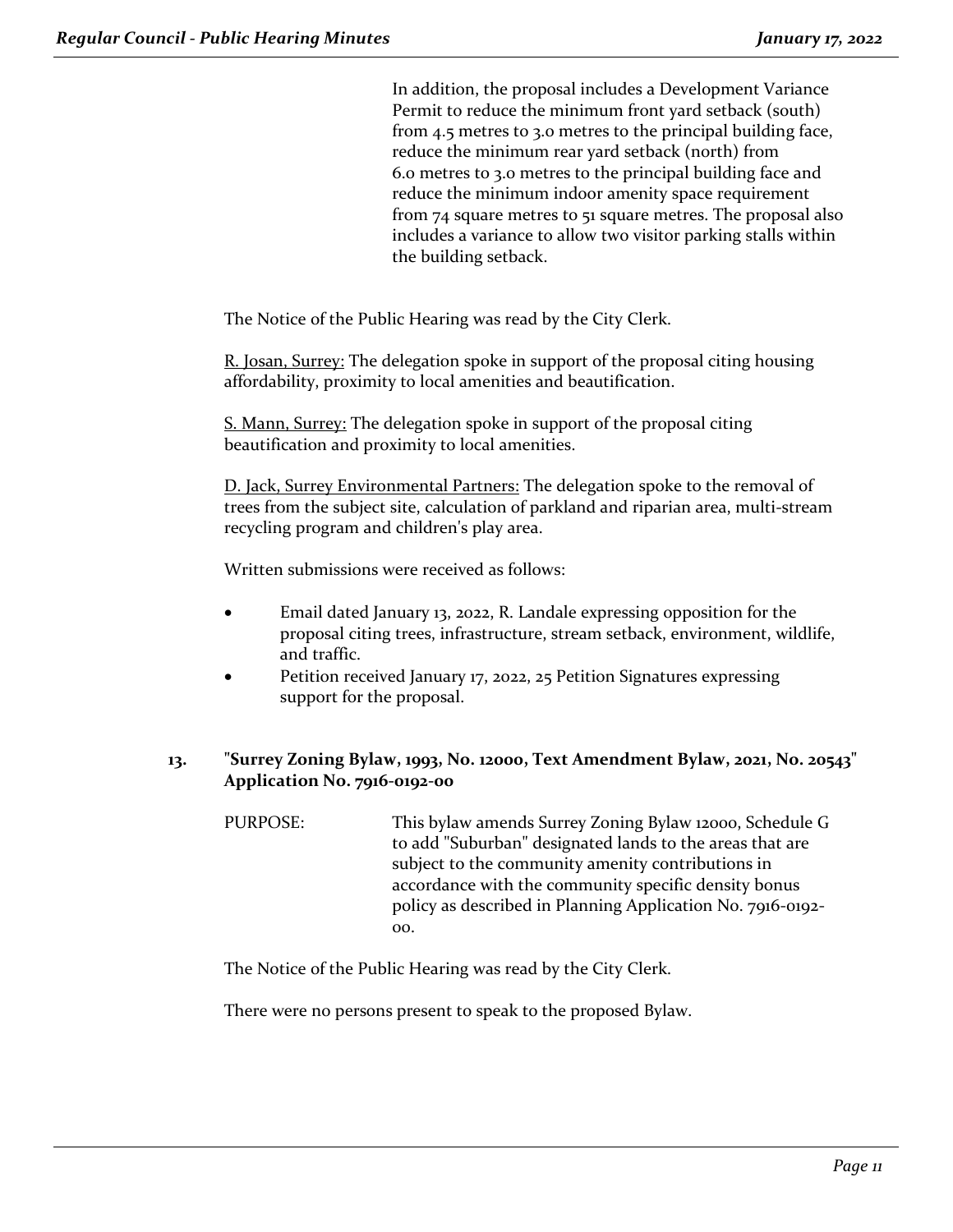In addition, the proposal includes a Development Variance Permit to reduce the minimum front yard setback (south) from 4.5 metres to 3.0 metres to the principal building face, reduce the minimum rear yard setback (north) from 6.0 metres to 3.0 metres to the principal building face and reduce the minimum indoor amenity space requirement from 74 square metres to 51 square metres. The proposal also includes a variance to allow two visitor parking stalls within the building setback.

The Notice of the Public Hearing was read by the City Clerk.

R. Josan, Surrey: The delegation spoke in support of the proposal citing housing affordability, proximity to local amenities and beautification.

S. Mann, Surrey: The delegation spoke in support of the proposal citing beautification and proximity to local amenities.

D. Jack, Surrey Environmental Partners: The delegation spoke to the removal of trees from the subject site, calculation of parkland and riparian area, multi-stream recycling program and children's play area.

Written submissions were received as follows:

- Email dated January 13, 2022, R. Landale expressing opposition for the proposal citing trees, infrastructure, stream setback, environment, wildlife, and traffic.
- Petition received January 17, 2022, 25 Petition Signatures expressing support for the proposal.

#### **13. "Surrey Zoning Bylaw, 1993, No. 12000, Text Amendment Bylaw, 2021, No. 20543" Application No. 7916-0192-00**

PURPOSE: This bylaw amends Surrey Zoning Bylaw 12000, Schedule G to add "Suburban" designated lands to the areas that are subject to the community amenity contributions in accordance with the community specific density bonus policy as described in Planning Application No. 7916-0192- 00.

The Notice of the Public Hearing was read by the City Clerk.

There were no persons present to speak to the proposed Bylaw.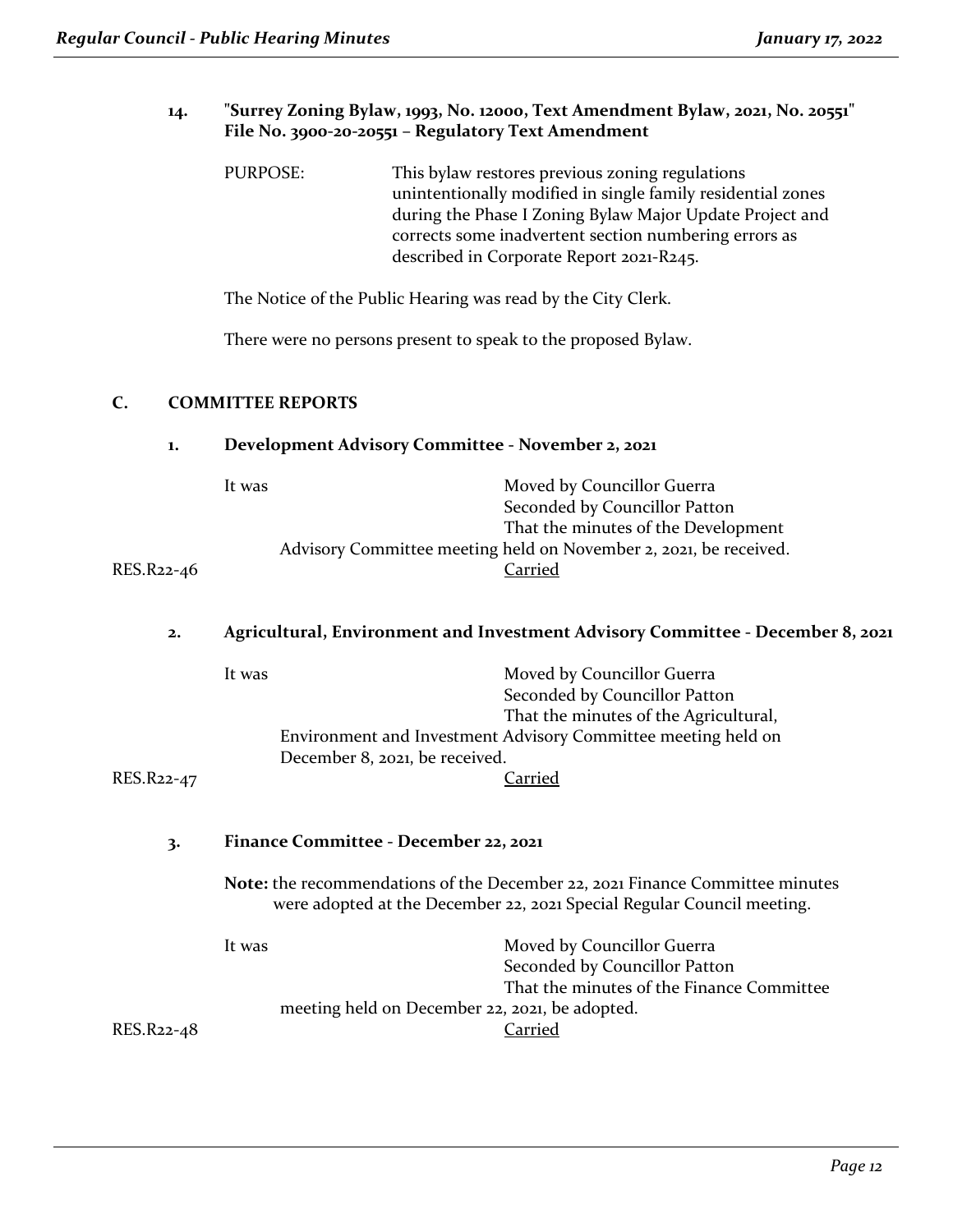#### **14. "Surrey Zoning Bylaw, 1993, No. 12000, Text Amendment Bylaw, 2021, No. 20551" File No. 3900-20-20551 – Regulatory Text Amendment**

PURPOSE: This bylaw restores previous zoning regulations unintentionally modified in single family residential zones during the Phase I Zoning Bylaw Major Update Project and corrects some inadvertent section numbering errors as described in Corporate Report 2021-R245.

The Notice of the Public Hearing was read by the City Clerk.

There were no persons present to speak to the proposed Bylaw.

#### **C. COMMITTEE REPORTS**

#### **1. Development Advisory Committee - November 2, 2021**

| It was     | Moved by Councillor Guerra                                        |
|------------|-------------------------------------------------------------------|
|            | Seconded by Councillor Patton                                     |
|            | That the minutes of the Development                               |
|            | Advisory Committee meeting held on November 2, 2021, be received. |
| RES.R22-46 | Carried                                                           |

#### **2. Agricultural, Environment and Investment Advisory Committee - December 8, 2021**

| RES.R22-47 | It was<br>December 8, 2021, be received.                 | Moved by Councillor Guerra<br>Seconded by Councillor Patton<br>That the minutes of the Agricultural,<br>Environment and Investment Advisory Committee meeting held on<br>Carried |
|------------|----------------------------------------------------------|----------------------------------------------------------------------------------------------------------------------------------------------------------------------------------|
| 3.         | Finance Committee - December 22, 2021                    |                                                                                                                                                                                  |
|            |                                                          | Note: the recommendations of the December 22, 2021 Finance Committee minutes<br>were adopted at the December 22, 2021 Special Regular Council meeting.                           |
|            | It was<br>meeting held on December 22, 2021, be adopted. | Moved by Councillor Guerra<br>Seconded by Councillor Patton<br>That the minutes of the Finance Committee                                                                         |
| RES.R22-48 |                                                          | `arried                                                                                                                                                                          |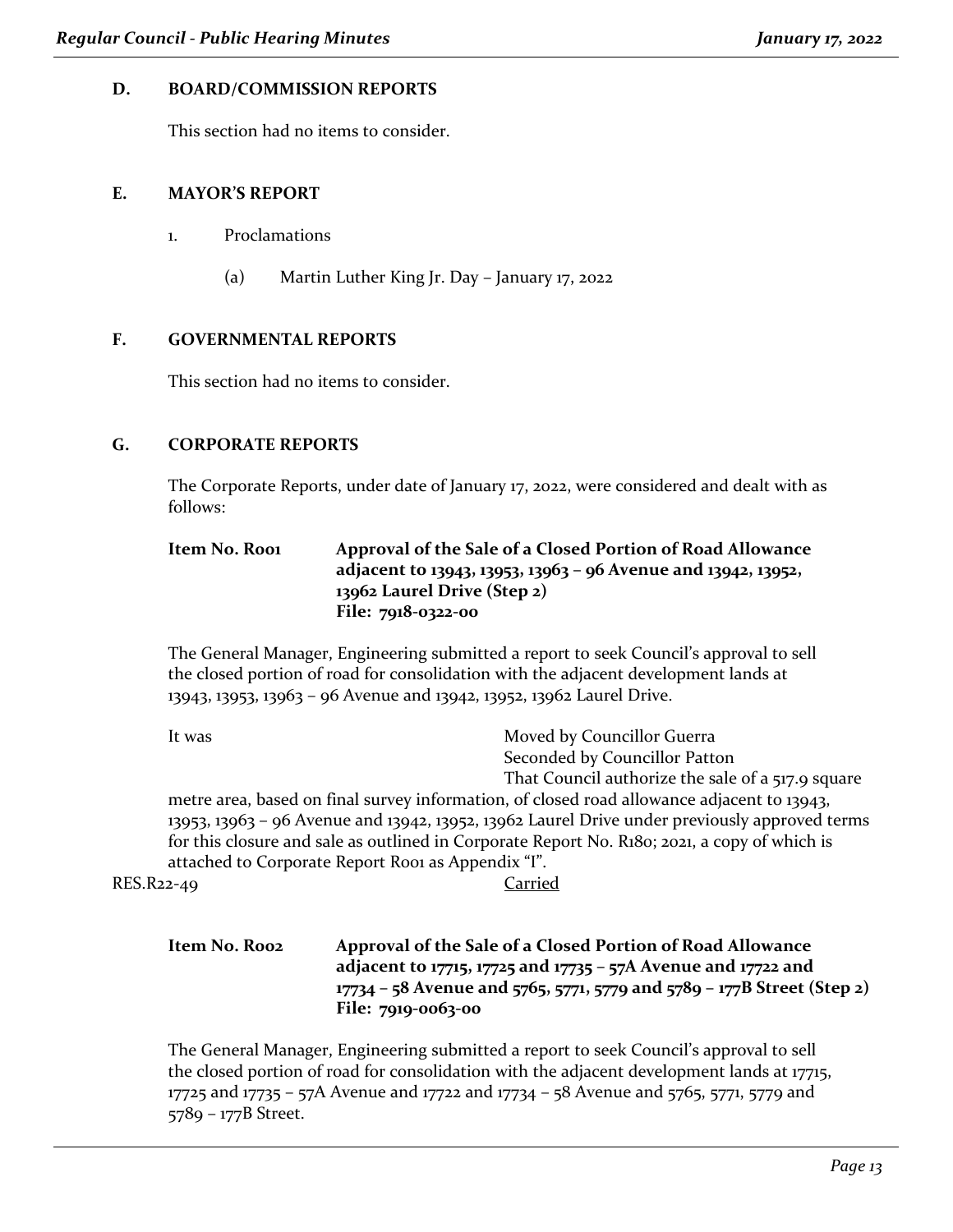#### **D. BOARD/COMMISSION REPORTS**

This section had no items to consider.

#### **E. MAYOR'S REPORT**

- 1. Proclamations
	- (a) Martin Luther King Jr. Day January 17, 2022

#### **F. GOVERNMENTAL REPORTS**

This section had no items to consider.

#### **G. CORPORATE REPORTS**

The Corporate Reports, under date of January 17, 2022, were considered and dealt with as follows:

| Item No. Roo1 | Approval of the Sale of a Closed Portion of Road Allowance    |
|---------------|---------------------------------------------------------------|
|               | adjacent to 13943, 13953, 13963 - 96 Avenue and 13942, 13952, |
|               | 13962 Laurel Drive (Step 2)                                   |
|               | File: 7918-0322-00                                            |

The General Manager, Engineering submitted a report to seek Council's approval to sell the closed portion of road for consolidation with the adjacent development lands at 13943, 13953, 13963 – 96 Avenue and 13942, 13952, 13962 Laurel Drive.

| It was     | Moved by Councillor Guerra                                                                                 |
|------------|------------------------------------------------------------------------------------------------------------|
|            | Seconded by Councillor Patton                                                                              |
|            | That Council authorize the sale of a 517.9 square                                                          |
|            | metre area, based on final survey information, of closed road allowance adjacent to 13943,                 |
|            | $13953$ , $13963 - 96$ Avenue and $13942$ , $13952$ , $13962$ Laurel Drive under previously approved terms |
|            | for this closure and sale as outlined in Corporate Report No. R180; 2021, a copy of which is               |
|            | attached to Corporate Report Roo1 as Appendix "I".                                                         |
| RES.R22-49 | Carried                                                                                                    |
|            |                                                                                                            |
|            |                                                                                                            |

**Item No. R002 Approval of the Sale of a Closed Portion of Road Allowance adjacent to 17715, 17725 and 17735 – 57A Avenue and 17722 and 17734 – 58 Avenue and 5765, 5771, 5779 and 5789 – 177B Street (Step 2) File: 7919-0063-00**

The General Manager, Engineering submitted a report to seek Council's approval to sell the closed portion of road for consolidation with the adjacent development lands at 17715, 17725 and 17735 – 57A Avenue and 17722 and 17734 – 58 Avenue and 5765, 5771, 5779 and 5789 – 177B Street.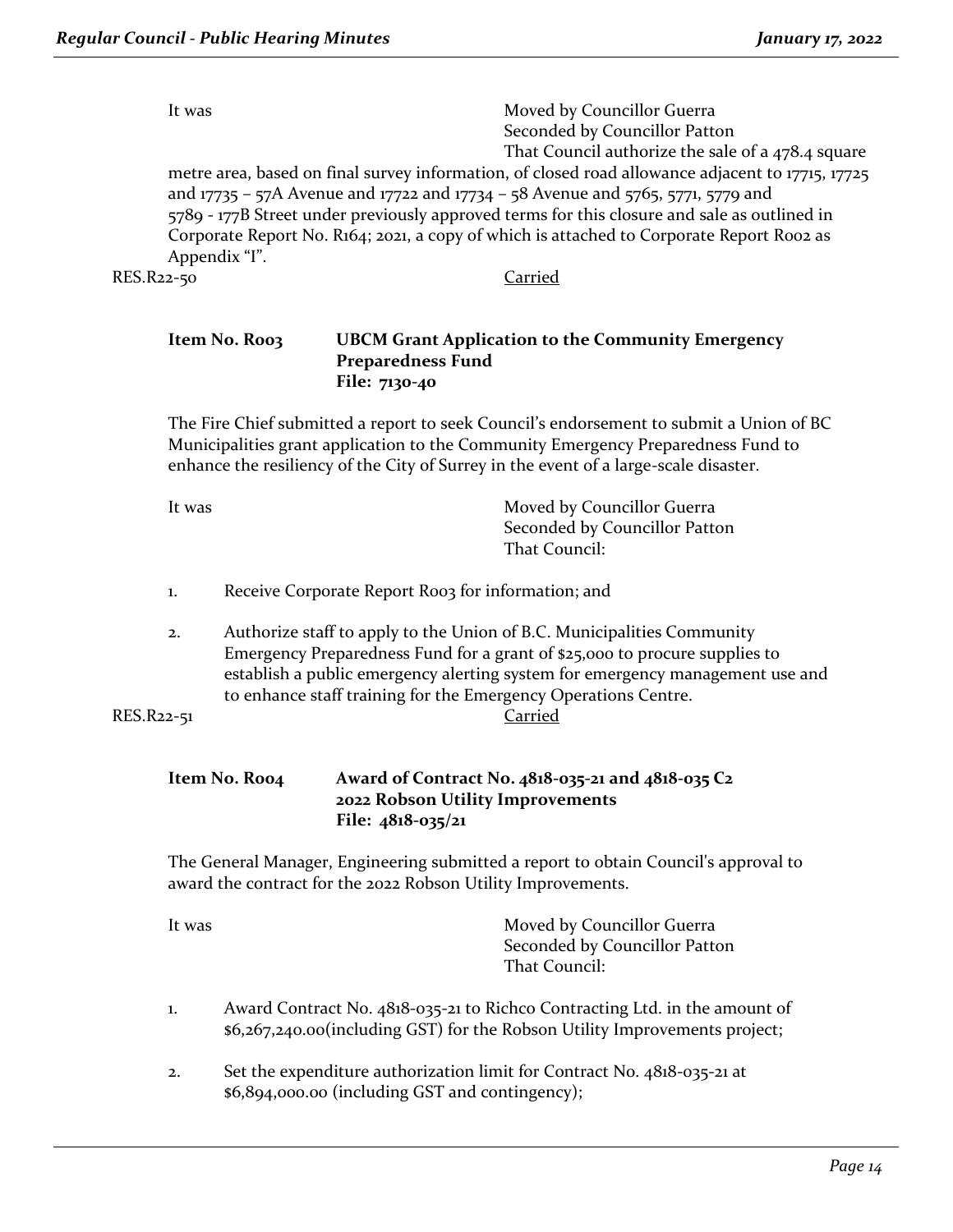|                                                                                          | Moved by Councillor Guerra<br>It was                                                             |
|------------------------------------------------------------------------------------------|--------------------------------------------------------------------------------------------------|
|                                                                                          | Seconded by Councillor Patton                                                                    |
|                                                                                          | That Council authorize the sale of a 478.4 square                                                |
|                                                                                          | metre area, based on final survey information, of closed road allowance adjacent to 17715, 17725 |
|                                                                                          | and 17735 - 57A Avenue and 17722 and 17734 - 58 Avenue and 5765, 5771, 5779 and                  |
|                                                                                          | 5789 - 177B Street under previously approved terms for this closure and sale as outlined in      |
| Corporate Report No. R164; 2021, a copy of which is attached to Corporate Report Roo2 as |                                                                                                  |
|                                                                                          | Appendix "I".                                                                                    |
| RES.R22-50                                                                               | ~arried                                                                                          |
|                                                                                          |                                                                                                  |

#### **Item No. R003 UBCM Grant Application to the Community Emergency Preparedness Fund File: 7130-40**

The Fire Chief submitted a report to seek Council's endorsement to submit a Union of BC Municipalities grant application to the Community Emergency Preparedness Fund to enhance the resiliency of the City of Surrey in the event of a large-scale disaster.

| It was | Moved by Councillor Guerra    |
|--------|-------------------------------|
|        | Seconded by Councillor Patton |
|        | That Council:                 |
|        |                               |

- 1. Receive Corporate Report Roo3 for information; and
- 2. Authorize staff to apply to the Union of B.C. Municipalities Community Emergency Preparedness Fund for a grant of \$25,000 to procure supplies to establish a public emergency alerting system for emergency management use and to enhance staff training for the Emergency Operations Centre.

```
RES.R22-51 Carried
```

| Item No. Roo4 | Award of Contract No. 4818-035-21 and 4818-035 C2 |
|---------------|---------------------------------------------------|
|               | 2022 Robson Utility Improvements                  |
|               | File: $4818-035/21$                               |

The General Manager, Engineering submitted a report to obtain Council's approval to award the contract for the 2022 Robson Utility Improvements.

| It was | Moved by Councillor Guerra    |
|--------|-------------------------------|
|        | Seconded by Councillor Patton |
|        | That Council:                 |
|        |                               |

- 1. Award Contract No. 4818-035-21 to Richco Contracting Ltd. in the amount of \$6,267,240.00(including GST) for the Robson Utility Improvements project;
- 2. Set the expenditure authorization limit for Contract No. 4818-035-21 at \$6,894,000.00 (including GST and contingency);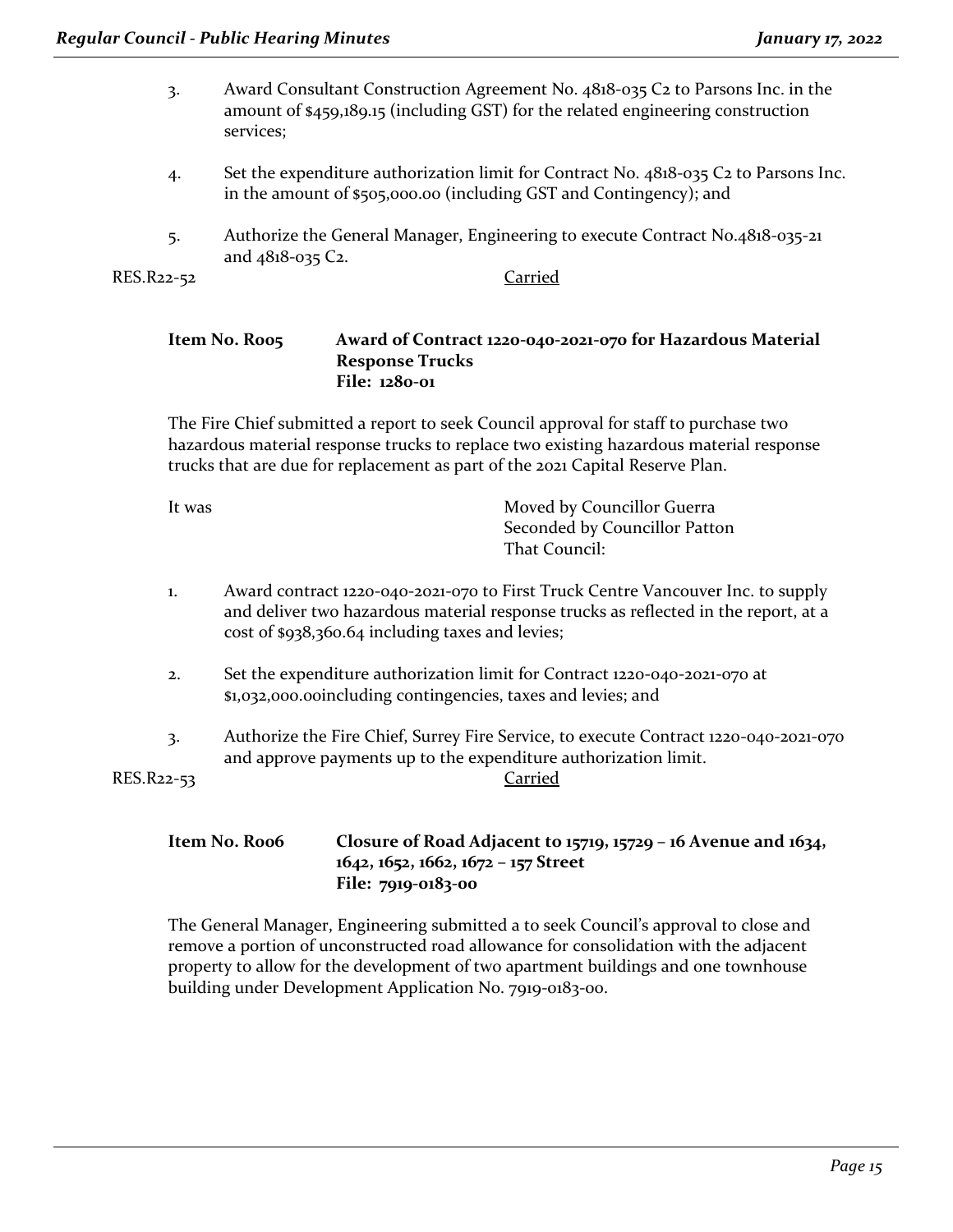- 3. Award Consultant Construction Agreement No. 4818-035 C2 to Parsons Inc. in the amount of \$459,189.15 (including GST) for the related engineering construction services;
- 4. Set the expenditure authorization limit for Contract No. 4818-035 C2 to Parsons Inc. in the amount of \$505,000.00 (including GST and Contingency); and
- 5. Authorize the General Manager, Engineering to execute Contract No.4818-035-21 and 4818-035 C2.

RES.R22-52 Carried

#### **Item No. R005 Award of Contract 1220-040-2021-070 for Hazardous Material Response Trucks File: 1280-01**

The Fire Chief submitted a report to seek Council approval for staff to purchase two hazardous material response trucks to replace two existing hazardous material response trucks that are due for replacement as part of the 2021 Capital Reserve Plan.

| It was | Moved by Councillor Guerra    |
|--------|-------------------------------|
|        | Seconded by Councillor Patton |
|        | That Council:                 |
|        |                               |

- 1. Award contract 1220-040-2021-070 to First Truck Centre Vancouver Inc. to supply and deliver two hazardous material response trucks as reflected in the report, at a cost of \$938,360.64 including taxes and levies;
- 2. Set the expenditure authorization limit for Contract 1220-040-2021-070 at \$1,032,000.00including contingencies, taxes and levies; and
- 3. Authorize the Fire Chief, Surrey Fire Service, to execute Contract 1220-040-2021-070 and approve payments up to the expenditure authorization limit.

RES.R22-53 Carried

#### **Item No. R006 Closure of Road Adjacent to 15719, 15729 – 16 Avenue and 1634, 1642, 1652, 1662, 1672 – 157 Street File: 7919-0183-00**

The General Manager, Engineering submitted a to seek Council's approval to close and remove a portion of unconstructed road allowance for consolidation with the adjacent property to allow for the development of two apartment buildings and one townhouse building under Development Application No. 7919-0183-00.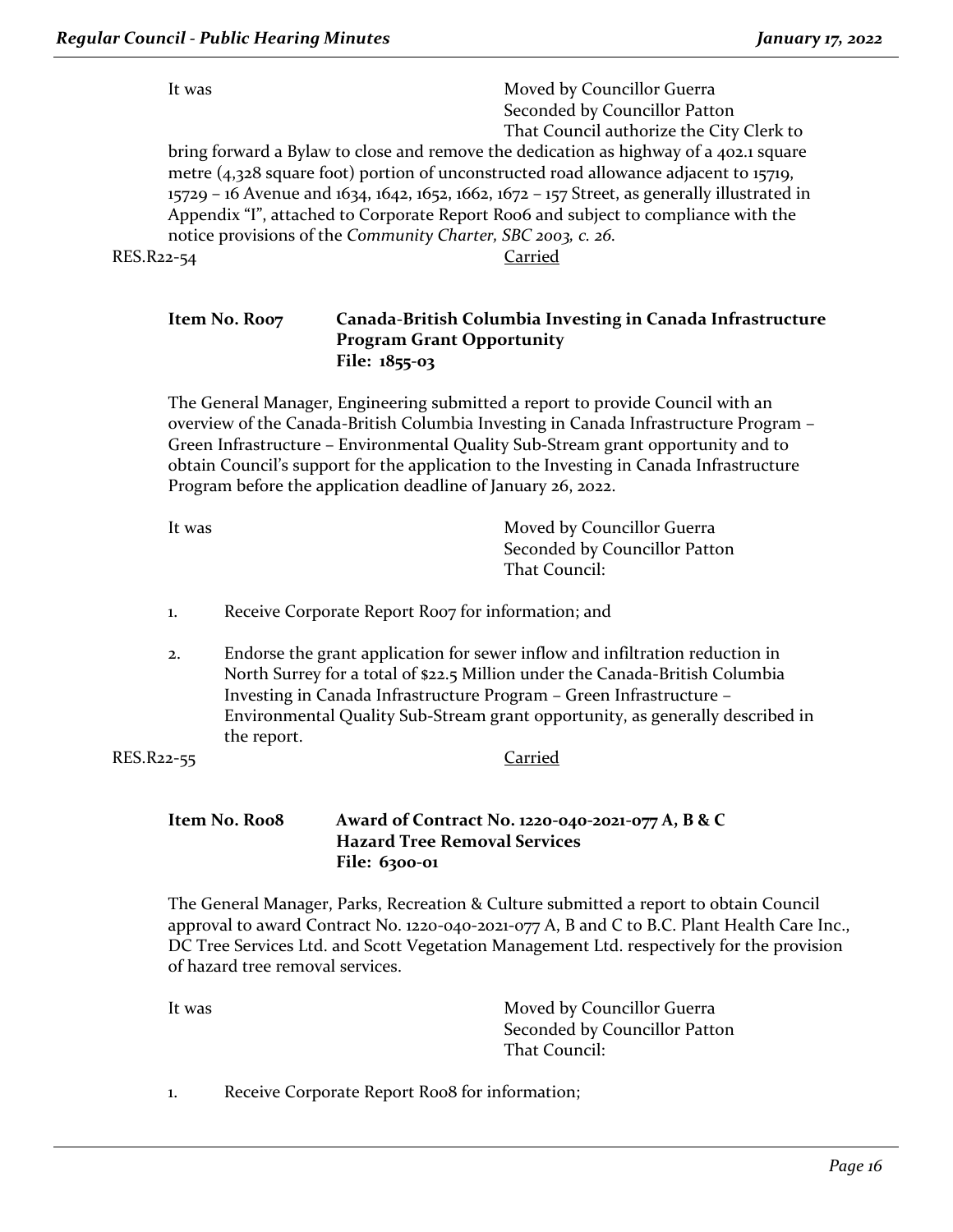| It was     | Moved by Councillor Guerra                                                                   |
|------------|----------------------------------------------------------------------------------------------|
|            | Seconded by Councillor Patton                                                                |
|            | That Council authorize the City Clerk to                                                     |
|            | bring forward a Bylaw to close and remove the dedication as highway of a 402.1 square        |
|            | metre (4,328 square foot) portion of unconstructed road allowance adjacent to 15719,         |
|            | 15729 - 16 Avenue and 1634, 1642, 1652, 1662, 1672 - 157 Street, as generally illustrated in |
|            | Appendix "I", attached to Corporate Report Roo6 and subject to compliance with the           |
|            | notice provisions of the Community Charter, SBC 2003, c. 26.                                 |
| RES.R22-54 | arried?                                                                                      |

#### **Item No. R007 Canada-British Columbia Investing in Canada Infrastructure Program Grant Opportunity File: 1855-03**

The General Manager, Engineering submitted a report to provide Council with an overview of the Canada-British Columbia Investing in Canada Infrastructure Program – Green Infrastructure – Environmental Quality Sub-Stream grant opportunity and to obtain Council's support for the application to the Investing in Canada Infrastructure Program before the application deadline of January 26, 2022.

| Moved by Councillor Guerra    |
|-------------------------------|
| Seconded by Councillor Patton |
| That Council:                 |
|                               |

- 1. Receive Corporate Report Roo7 for information; and
- 2. Endorse the grant application for sewer inflow and infiltration reduction in North Surrey for a total of \$22.5 Million under the Canada-British Columbia Investing in Canada Infrastructure Program – Green Infrastructure – Environmental Quality Sub-Stream grant opportunity, as generally described in the report.

RES.R22-55 Carried

#### **Item No. R008 Award of Contract No. 1220-040-2021-077 A, B & C Hazard Tree Removal Services File: 6300-01**

The General Manager, Parks, Recreation & Culture submitted a report to obtain Council approval to award Contract No. 1220-040-2021-077 A, B and C to B.C. Plant Health Care Inc., DC Tree Services Ltd. and Scott Vegetation Management Ltd. respectively for the provision of hazard tree removal services.

It was **Moved by Councillor Guerra** Seconded by Councillor Patton That Council:

1. Receive Corporate Report Roo8 for information;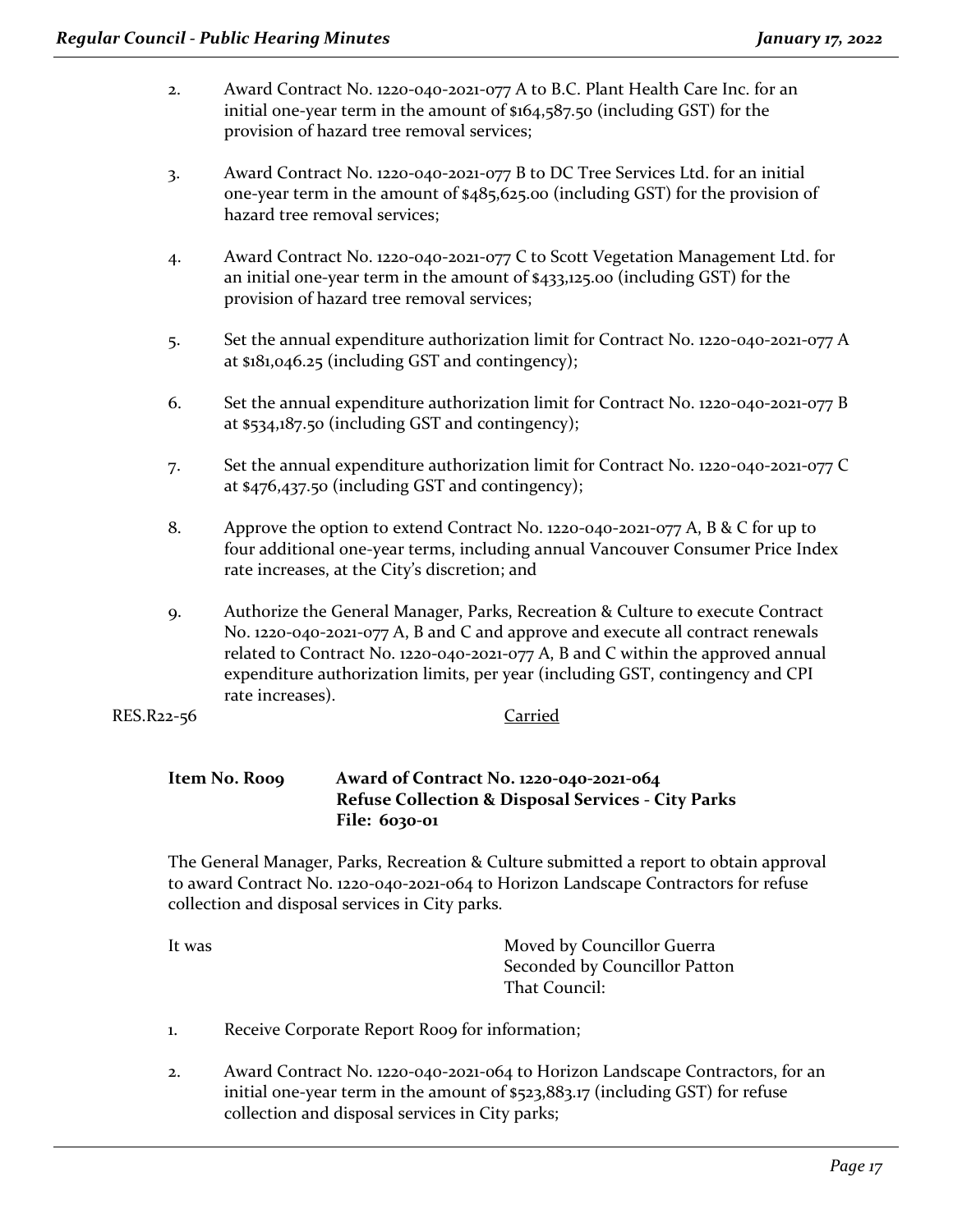- 2. Award Contract No. 1220-040-2021-077 A to B.C. Plant Health Care Inc. for an initial one-year term in the amount of \$164,587.50 (including GST) for the provision of hazard tree removal services;
- 3. Award Contract No. 1220-040-2021-077 B to DC Tree Services Ltd. for an initial one-year term in the amount of \$485,625.00 (including GST) for the provision of hazard tree removal services;
- 4. Award Contract No. 1220-040-2021-077 C to Scott Vegetation Management Ltd. for an initial one-year term in the amount of \$433,125.00 (including GST) for the provision of hazard tree removal services;
- 5. Set the annual expenditure authorization limit for Contract No. 1220-040-2021-077 A at \$181,046.25 (including GST and contingency);
- 6. Set the annual expenditure authorization limit for Contract No. 1220-040-2021-077 B at \$534,187.50 (including GST and contingency);
- 7. Set the annual expenditure authorization limit for Contract No. 1220-040-2021-077 C at \$476,437.50 (including GST and contingency);
- 8. Approve the option to extend Contract No. 1220-040-2021-077 A, B & C for up to four additional one-year terms, including annual Vancouver Consumer Price Index rate increases, at the City's discretion; and
- 9. Authorize the General Manager, Parks, Recreation & Culture to execute Contract No. 1220-040-2021-077 A, B and C and approve and execute all contract renewals related to Contract No. 1220-040-2021-077 A, B and C within the approved annual expenditure authorization limits, per year (including GST, contingency and CPI rate increases).
- RES.R22-56 Carried

#### **Item No. R009 Award of Contract No. 1220-040-2021-064 Refuse Collection & Disposal Services - City Parks File: 6030-01**

The General Manager, Parks, Recreation & Culture submitted a report to obtain approval to award Contract No. 1220-040-2021-064 to Horizon Landscape Contractors for refuse collection and disposal services in City parks.

It was **Moved by Councillor Guerra** Seconded by Councillor Patton That Council:

- 1. Receive Corporate Report Roog for information;
- 2. Award Contract No. 1220-040-2021-064 to Horizon Landscape Contractors, for an initial one-year term in the amount of \$523,883.17 (including GST) for refuse collection and disposal services in City parks;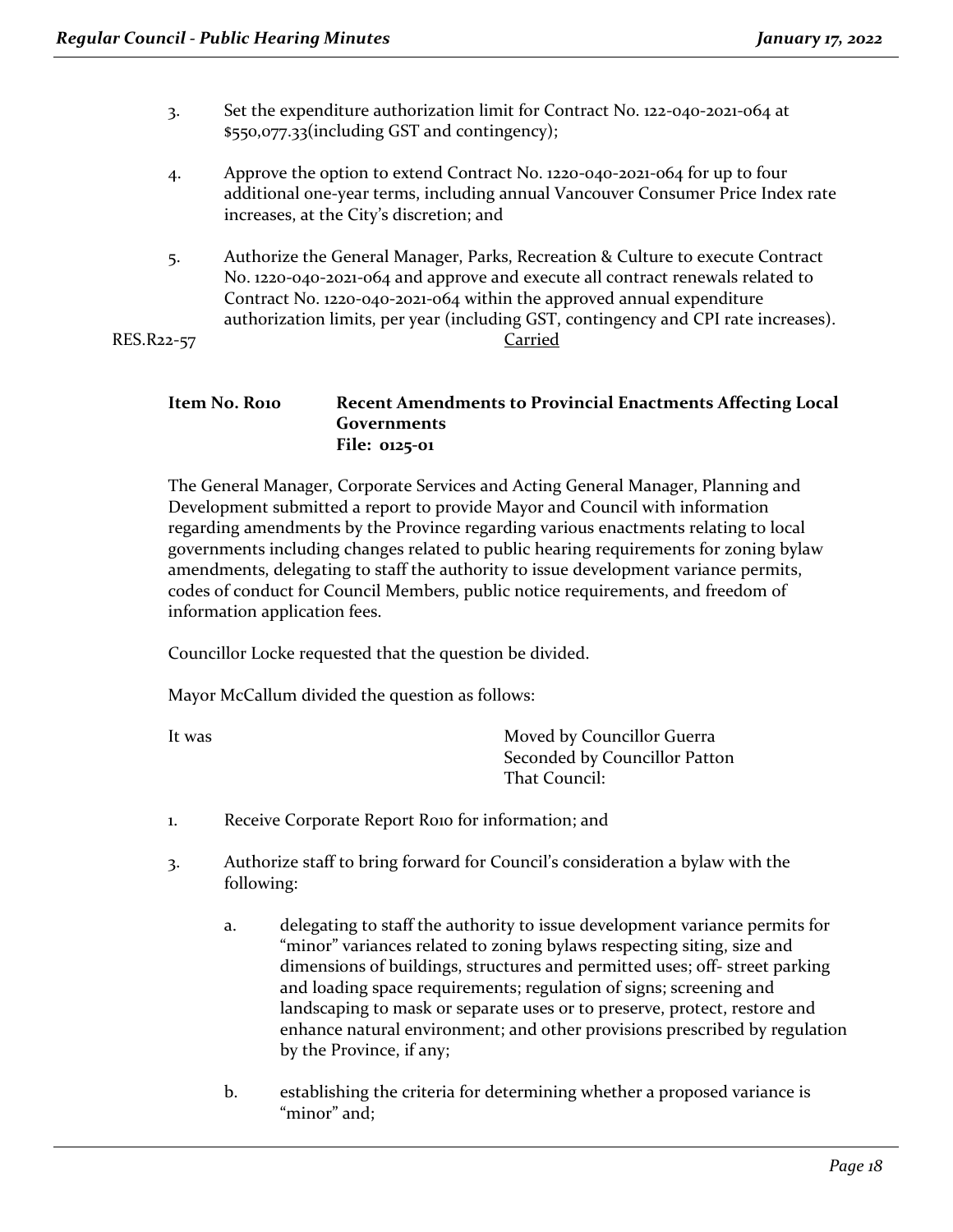- 3. Set the expenditure authorization limit for Contract No. 122-040-2021-064 at \$550,077.33(including GST and contingency);
- 4. Approve the option to extend Contract No. 1220-040-2021-064 for up to four additional one-year terms, including annual Vancouver Consumer Price Index rate increases, at the City's discretion; and
- 5. Authorize the General Manager, Parks, Recreation & Culture to execute Contract No. 1220-040-2021-064 and approve and execute all contract renewals related to Contract No. 1220-040-2021-064 within the approved annual expenditure authorization limits, per year (including GST, contingency and CPI rate increases). RES.R22-57 Carried

#### **Item No. R010 Recent Amendments to Provincial Enactments Affecting Local Governments File: 0125-01**

The General Manager, Corporate Services and Acting General Manager, Planning and Development submitted a report to provide Mayor and Council with information regarding amendments by the Province regarding various enactments relating to local governments including changes related to public hearing requirements for zoning bylaw amendments, delegating to staff the authority to issue development variance permits, codes of conduct for Council Members, public notice requirements, and freedom of information application fees.

Councillor Locke requested that the question be divided.

Mayor McCallum divided the question as follows:

It was **Moved by Councillor Guerra** Seconded by Councillor Patton That Council:

- 1. Receive Corporate Report Roio for information; and
- 3. Authorize staff to bring forward for Council's consideration a bylaw with the following:
	- a. delegating to staff the authority to issue development variance permits for "minor" variances related to zoning bylaws respecting siting, size and dimensions of buildings, structures and permitted uses; off- street parking and loading space requirements; regulation of signs; screening and landscaping to mask or separate uses or to preserve, protect, restore and enhance natural environment; and other provisions prescribed by regulation by the Province, if any;
	- b. establishing the criteria for determining whether a proposed variance is "minor" and: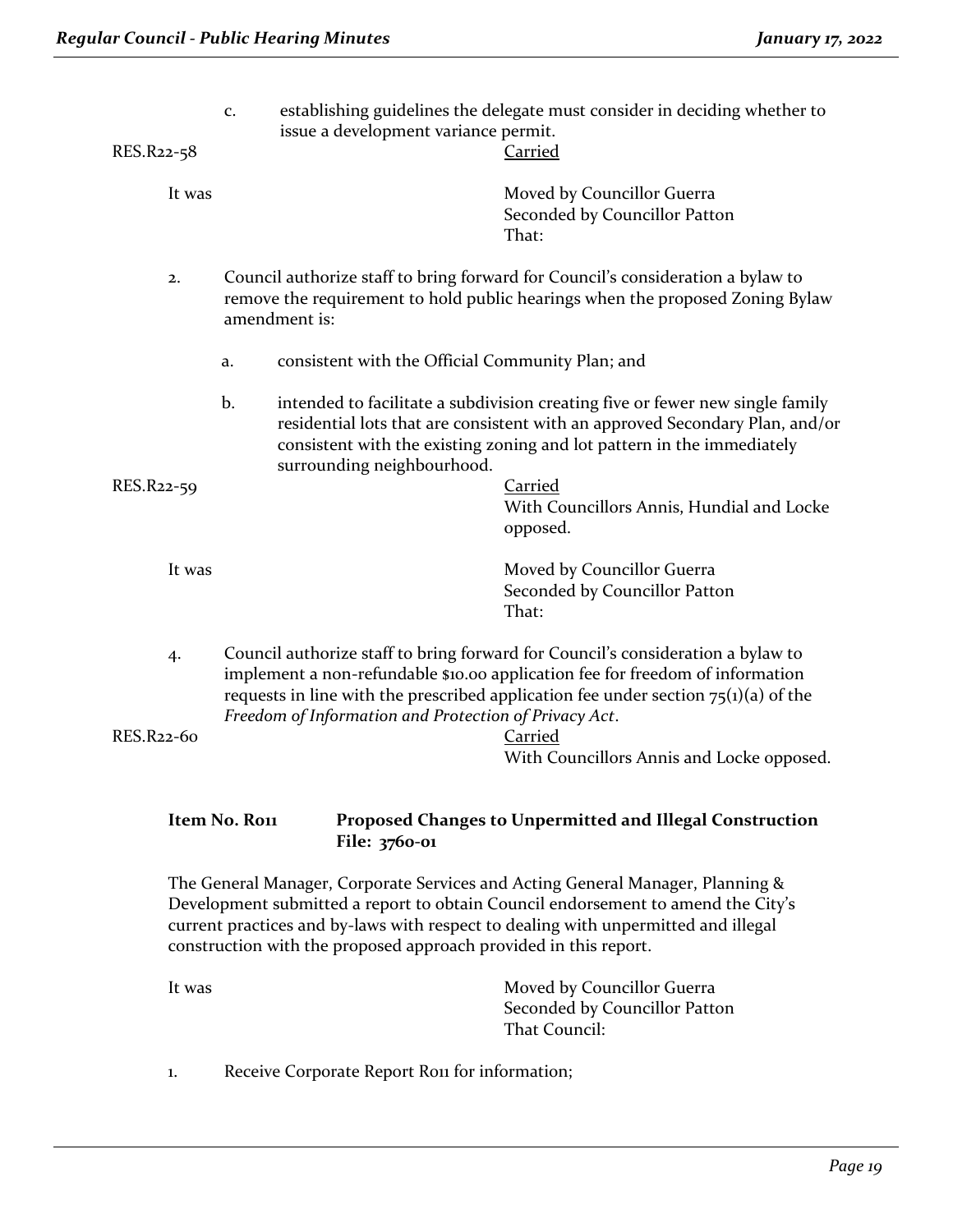| RES.R22-58 | c.           | establishing guidelines the delegate must consider in deciding whether to<br>issue a development variance permit.<br>Carried                                                                                                                                                                                                 |
|------------|--------------|------------------------------------------------------------------------------------------------------------------------------------------------------------------------------------------------------------------------------------------------------------------------------------------------------------------------------|
| It was     |              | Moved by Councillor Guerra<br>Seconded by Councillor Patton<br>That:                                                                                                                                                                                                                                                         |
| 2.         |              | Council authorize staff to bring forward for Council's consideration a bylaw to<br>remove the requirement to hold public hearings when the proposed Zoning Bylaw<br>amendment is:                                                                                                                                            |
|            | a.           | consistent with the Official Community Plan; and                                                                                                                                                                                                                                                                             |
|            | b.           | intended to facilitate a subdivision creating five or fewer new single family<br>residential lots that are consistent with an approved Secondary Plan, and/or<br>consistent with the existing zoning and lot pattern in the immediately<br>surrounding neighbourhood.                                                        |
| RES.R22-59 |              | Carried<br>With Councillors Annis, Hundial and Locke<br>opposed.                                                                                                                                                                                                                                                             |
| It was     |              | Moved by Councillor Guerra<br>Seconded by Councillor Patton<br>That:                                                                                                                                                                                                                                                         |
| 4.         |              | Council authorize staff to bring forward for Council's consideration a bylaw to<br>implement a non-refundable \$10.00 application fee for freedom of information<br>requests in line with the prescribed application fee under section $75(i)(a)$ of the<br>Freedom of Information and Protection of Privacy Act.            |
| RES.R22-60 |              | Carried<br>With Councillors Annis and Locke opposed.                                                                                                                                                                                                                                                                         |
|            | Item No. Ron | Proposed Changes to Unpermitted and Illegal Construction<br>File: 3760-01                                                                                                                                                                                                                                                    |
|            |              | The General Manager, Corporate Services and Acting General Manager, Planning &<br>Development submitted a report to obtain Council endorsement to amend the City's<br>current practices and by-laws with respect to dealing with unpermitted and illegal<br>construction with the proposed approach provided in this report. |

| Moved by Councillor Guerra    |
|-------------------------------|
| Seconded by Councillor Patton |
| That Council:                 |
|                               |

1. Receive Corporate Report Rou for information;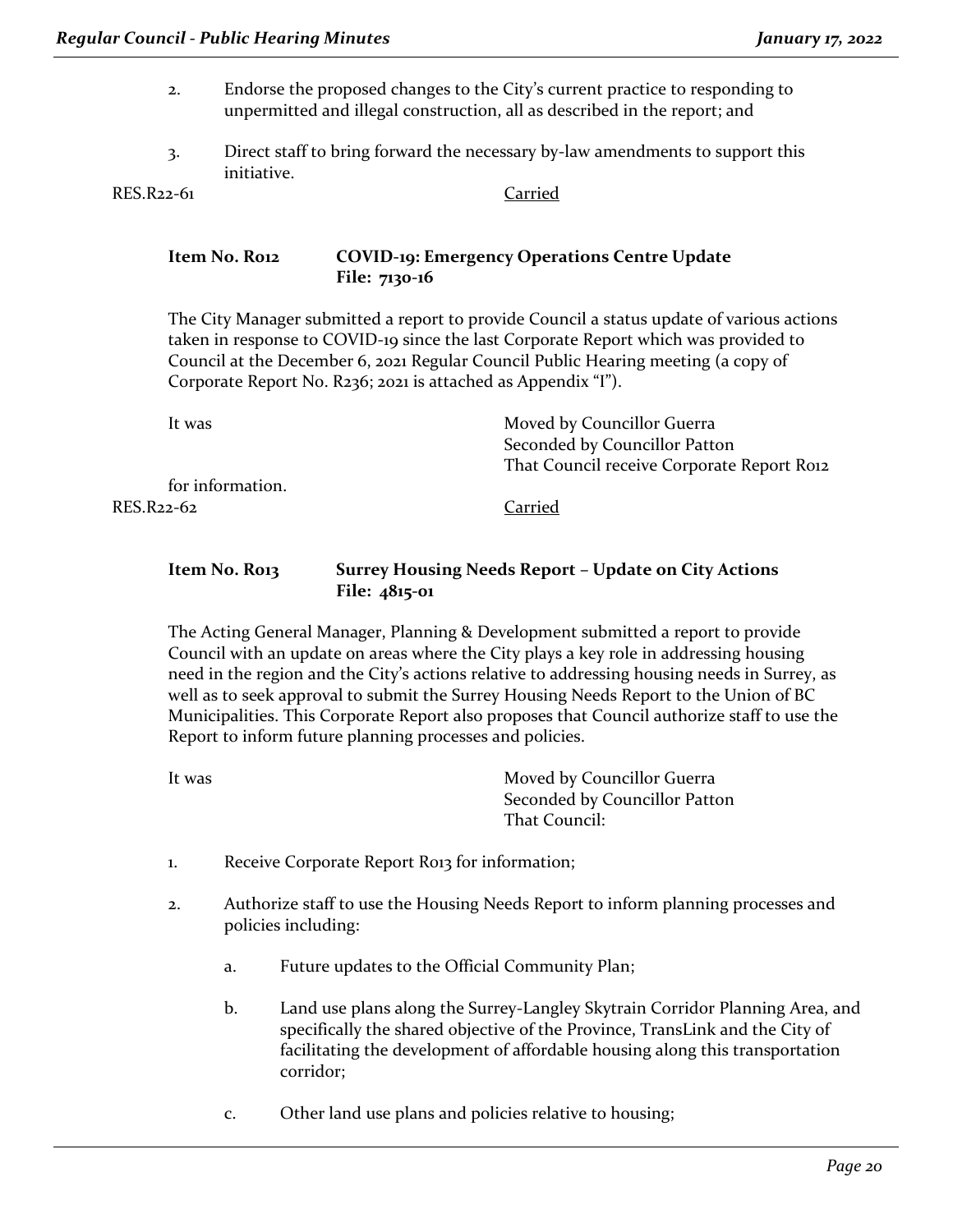- 2. Endorse the proposed changes to the City's current practice to responding to unpermitted and illegal construction, all as described in the report; and
- 3. Direct staff to bring forward the necessary by-law amendments to support this initiative.

RES.R22-61 Carried

#### **Item No. R012 COVID-19: Emergency Operations Centre Update File: 7130-16**

The City Manager submitted a report to provide Council a status update of various actions taken in response to COVID-19 since the last Corporate Report which was provided to Council at the December 6, 2021 Regular Council Public Hearing meeting (a copy of Corporate Report No. R236; 2021 is attached as Appendix "I").

It was **Moved by Councillor Guerra** Seconded by Councillor Patton That Council receive Corporate Report Roi2 for information. RES.R22-62 Carried

#### **Item No. R013 Surrey Housing Needs Report – Update on City Actions File: 4815-01**

The Acting General Manager, Planning & Development submitted a report to provide Council with an update on areas where the City plays a key role in addressing housing need in the region and the City's actions relative to addressing housing needs in Surrey, as well as to seek approval to submit the Surrey Housing Needs Report to the Union of BC Municipalities. This Corporate Report also proposes that Council authorize staff to use the Report to inform future planning processes and policies.

| It was | Moved by Councillor Guerra    |
|--------|-------------------------------|
|        | Seconded by Councillor Patton |
|        | That Council:                 |

- 1. Receive Corporate Report Ro13 for information;
- 2. Authorize staff to use the Housing Needs Report to inform planning processes and policies including:
	- a. Future updates to the Official Community Plan;
	- b. Land use plans along the Surrey-Langley Skytrain Corridor Planning Area, and specifically the shared objective of the Province, TransLink and the City of facilitating the development of affordable housing along this transportation corridor;
	- c. Other land use plans and policies relative to housing;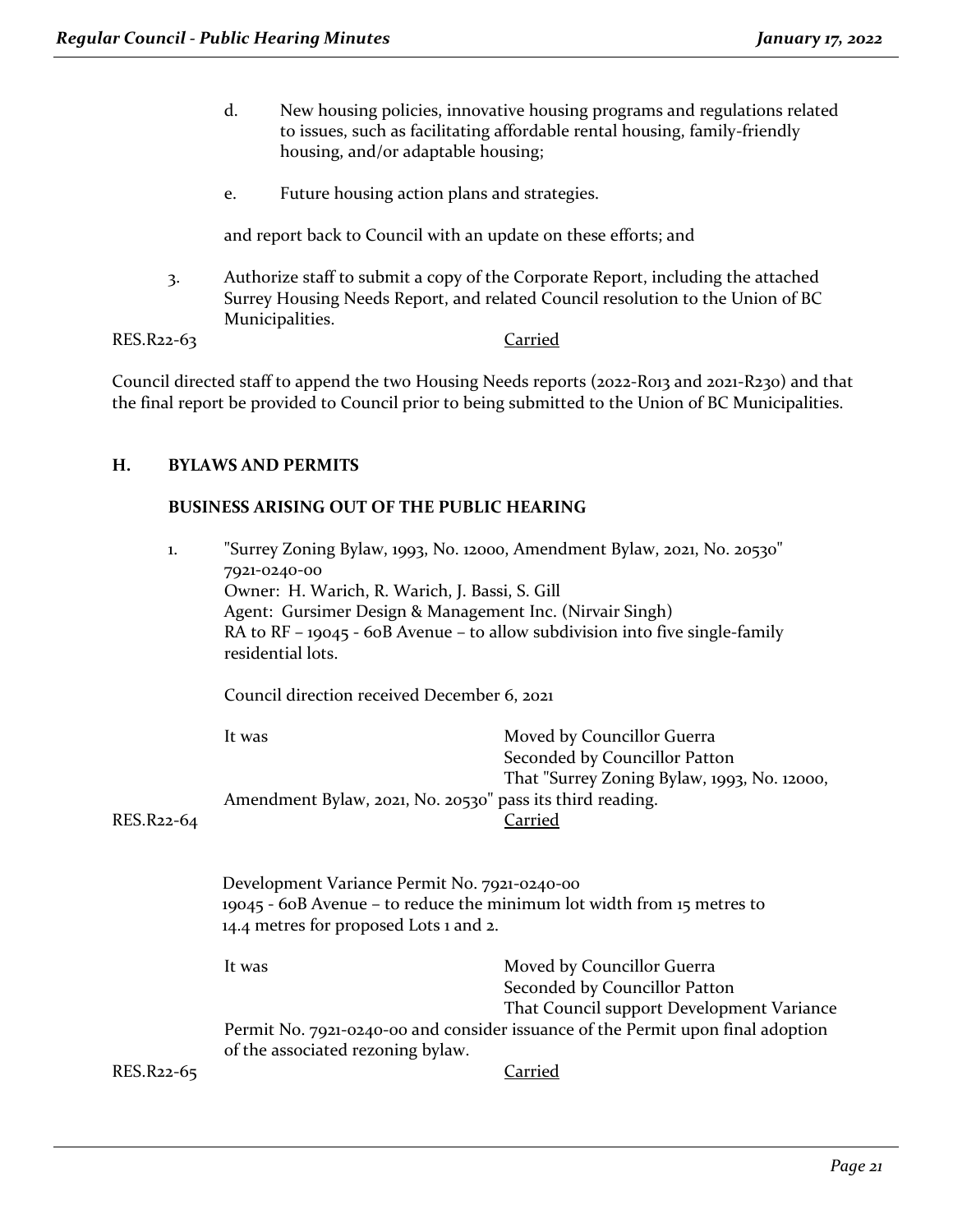- d. New housing policies, innovative housing programs and regulations related to issues, such as facilitating affordable rental housing, family-friendly housing, and/or adaptable housing;
- e. Future housing action plans and strategies.

and report back to Council with an update on these efforts; and

3. Authorize staff to submit a copy of the Corporate Report, including the attached Surrey Housing Needs Report, and related Council resolution to the Union of BC Municipalities.

RES.R22-63 Carried

Council directed staff to append the two Housing Needs reports (2022-R013 and 2021-R230) and that the final report be provided to Council prior to being submitted to the Union of BC Municipalities.

#### **H. BYLAWS AND PERMITS**

#### **BUSINESS ARISING OUT OF THE PUBLIC HEARING**

| 1.         | 7921-0240-00<br>Owner: H. Warich, R. Warich, J. Bassi, S. Gill<br>Agent: Gursimer Design & Management Inc. (Nirvair Singh)<br>residential lots.<br>Council direction received December 6, 2021 | "Surrey Zoning Bylaw, 1993, No. 12000, Amendment Bylaw, 2021, No. 20530"<br>RA to $RF - 19045 - 60B$ Avenue – to allow subdivision into five single-family                                  |
|------------|------------------------------------------------------------------------------------------------------------------------------------------------------------------------------------------------|---------------------------------------------------------------------------------------------------------------------------------------------------------------------------------------------|
| RES.R22-64 | It was<br>Amendment Bylaw, 2021, No. 20530" pass its third reading.                                                                                                                            | Moved by Councillor Guerra<br>Seconded by Councillor Patton<br>That "Surrey Zoning Bylaw, 1993, No. 12000,<br><b>Carried</b>                                                                |
|            | Development Variance Permit No. 7921-0240-00<br>19045 - 60B Avenue – to reduce the minimum lot width from 15 metres to<br>14.4 metres for proposed Lots 1 and 2.                               |                                                                                                                                                                                             |
|            | It was<br>of the associated rezoning bylaw.                                                                                                                                                    | Moved by Councillor Guerra<br>Seconded by Councillor Patton<br>That Council support Development Variance<br>Permit No. 7921-0240-00 and consider issuance of the Permit upon final adoption |
| RES.R22-65 |                                                                                                                                                                                                | Carried                                                                                                                                                                                     |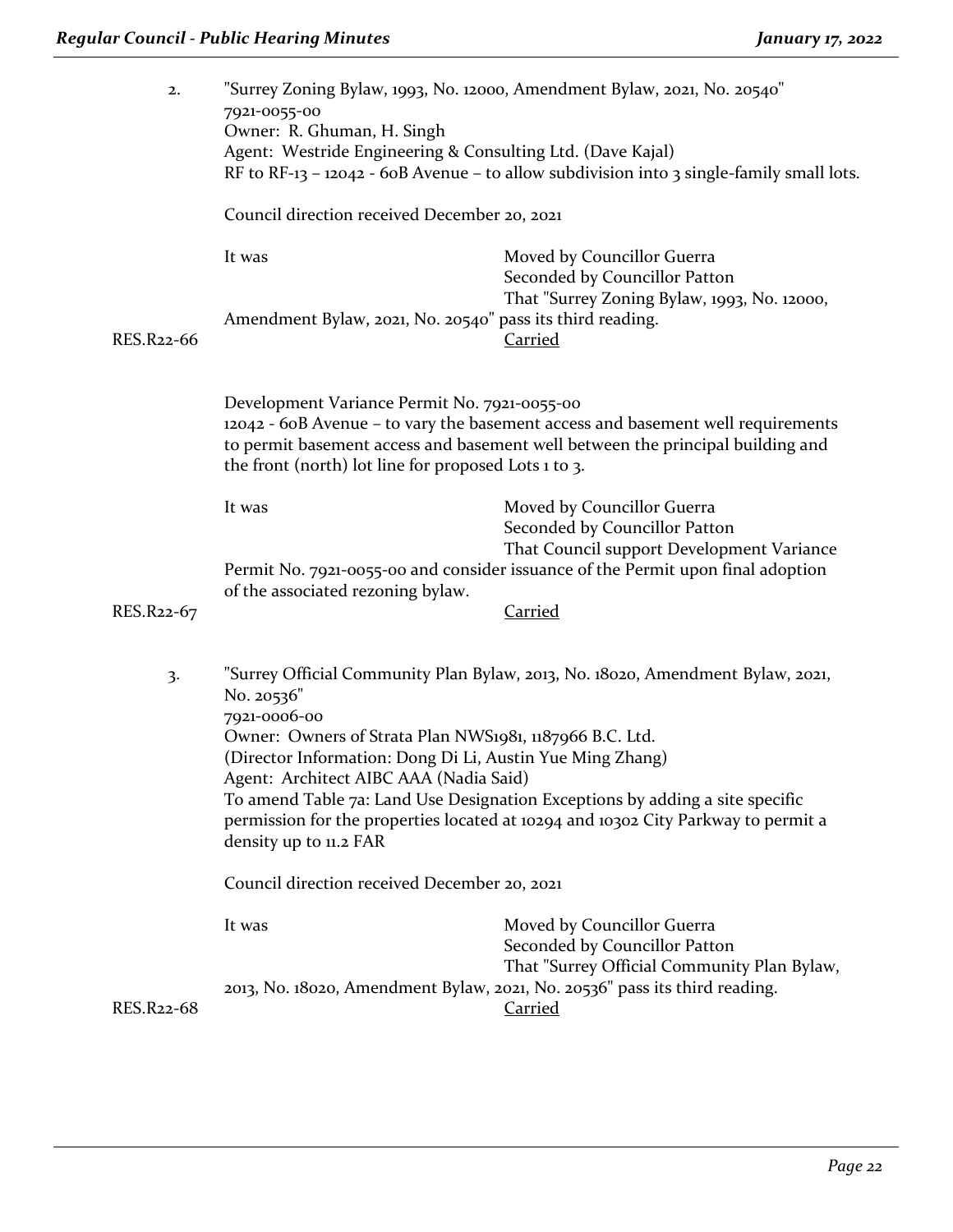| 2.         | 7921-0055-00<br>Owner: R. Ghuman, H. Singh<br>Agent: Westride Engineering & Consulting Ltd. (Dave Kajal)                                                                                     | "Surrey Zoning Bylaw, 1993, No. 12000, Amendment Bylaw, 2021, No. 20540"<br>RF to RF-13 - 12042 - 60B Avenue - to allow subdivision into 3 single-family small lots. |
|------------|----------------------------------------------------------------------------------------------------------------------------------------------------------------------------------------------|----------------------------------------------------------------------------------------------------------------------------------------------------------------------|
|            | Council direction received December 20, 2021                                                                                                                                                 |                                                                                                                                                                      |
|            | It was                                                                                                                                                                                       | Moved by Councillor Guerra<br>Seconded by Councillor Patton<br>That "Surrey Zoning Bylaw, 1993, No. 12000,                                                           |
| RES.R22-66 | Amendment Bylaw, 2021, No. 20540" pass its third reading.                                                                                                                                    | <b>Carried</b>                                                                                                                                                       |
|            | Development Variance Permit No. 7921-0055-00<br>the front (north) lot line for proposed Lots 1 to 3.                                                                                         | 12042 - 60B Avenue - to vary the basement access and basement well requirements<br>to permit basement access and basement well between the principal building and    |
|            | It was                                                                                                                                                                                       | Moved by Councillor Guerra<br>Seconded by Councillor Patton<br>That Council support Development Variance                                                             |
|            | of the associated rezoning bylaw.                                                                                                                                                            | Permit No. 7921-0055-00 and consider issuance of the Permit upon final adoption                                                                                      |
| RES.R22-67 |                                                                                                                                                                                              | <b>Carried</b>                                                                                                                                                       |
| 3.         | No. 20536"<br>7921-0006-00<br>Owner: Owners of Strata Plan NWS1981, 1187966 B.C. Ltd.<br>(Director Information: Dong Di Li, Austin Yue Ming Zhang)<br>Agent: Architect AIBC AAA (Nadia Said) | "Surrey Official Community Plan Bylaw, 2013, No. 18020, Amendment Bylaw, 2021,<br>To amend Table 7a: Land Use Designation Exceptions by adding a site specific       |
|            | permission for the properties located at 10294 and 10302 City Parkway to permit a<br>density up to 11.2 FAR                                                                                  |                                                                                                                                                                      |
|            | Council direction received December 20, 2021                                                                                                                                                 |                                                                                                                                                                      |
|            | It was                                                                                                                                                                                       | Moved by Councillor Guerra<br>Seconded by Councillor Patton<br>That "Surrey Official Community Plan Bylaw,                                                           |
| RES.R22-68 |                                                                                                                                                                                              | 2013, No. 18020, Amendment Bylaw, 2021, No. 20536" pass its third reading.<br><b>Carried</b>                                                                         |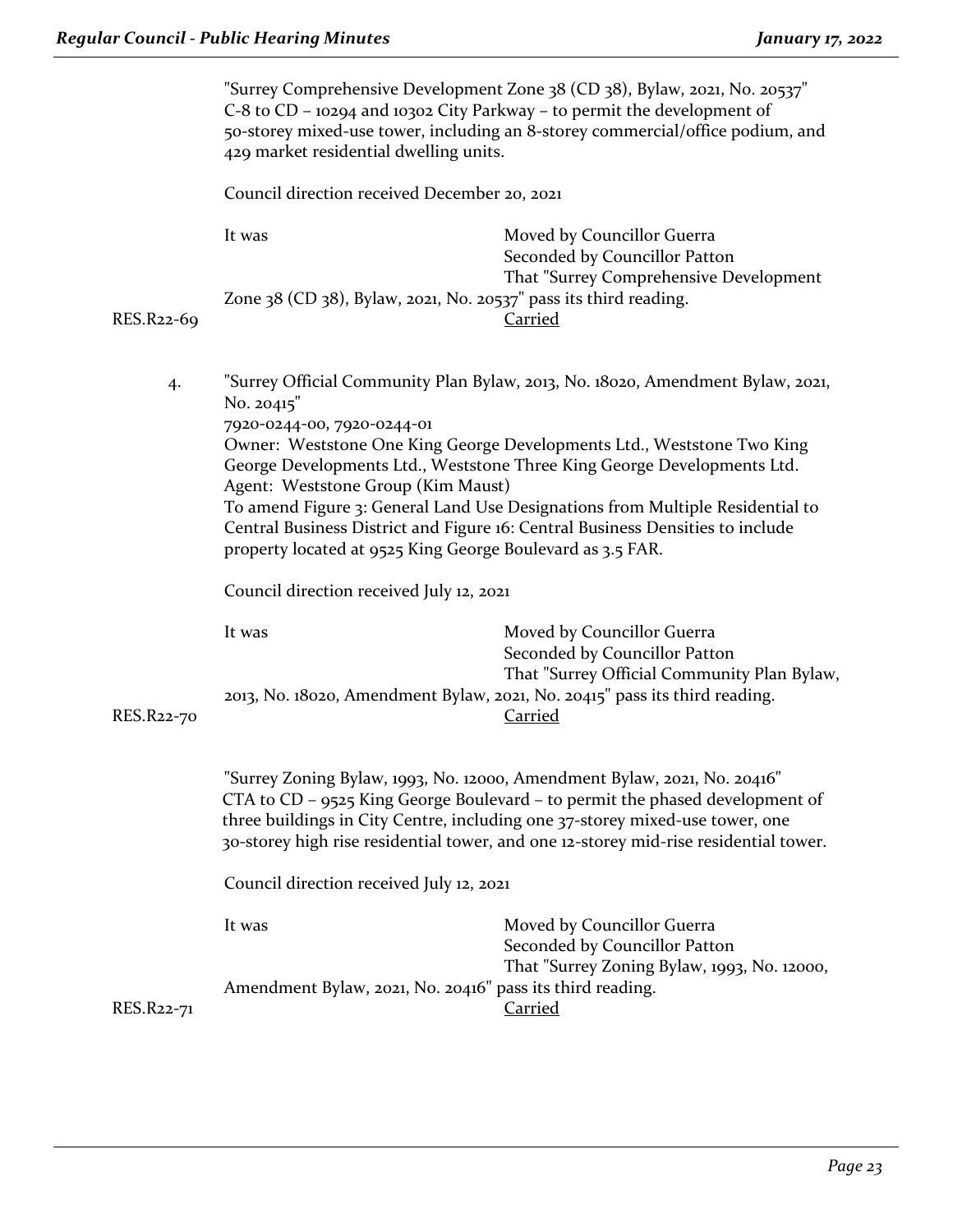|            | "Surrey Comprehensive Development Zone 38 (CD 38), Bylaw, 2021, No. 20537"<br>C-8 to CD - 10294 and 10302 City Parkway - to permit the development of<br>50-storey mixed-use tower, including an 8-storey commercial/office podium, and<br>429 market residential dwelling units.                                                    |                                                                                                                                                                                                                                                                                                                      |  |
|------------|--------------------------------------------------------------------------------------------------------------------------------------------------------------------------------------------------------------------------------------------------------------------------------------------------------------------------------------|----------------------------------------------------------------------------------------------------------------------------------------------------------------------------------------------------------------------------------------------------------------------------------------------------------------------|--|
|            | Council direction received December 20, 2021                                                                                                                                                                                                                                                                                         |                                                                                                                                                                                                                                                                                                                      |  |
|            | It was<br>Zone 38 (CD 38), Bylaw, 2021, No. 20537" pass its third reading.                                                                                                                                                                                                                                                           | Moved by Councillor Guerra<br>Seconded by Councillor Patton<br>That "Surrey Comprehensive Development<br><b>Carried</b>                                                                                                                                                                                              |  |
| RES.R22-69 |                                                                                                                                                                                                                                                                                                                                      |                                                                                                                                                                                                                                                                                                                      |  |
| 4.         | No. 20415"                                                                                                                                                                                                                                                                                                                           | "Surrey Official Community Plan Bylaw, 2013, No. 18020, Amendment Bylaw, 2021,                                                                                                                                                                                                                                       |  |
|            | 7920-0244-00, 7920-0244-01<br>Agent: Weststone Group (Kim Maust)                                                                                                                                                                                                                                                                     | Owner: Weststone One King George Developments Ltd., Weststone Two King<br>George Developments Ltd., Weststone Three King George Developments Ltd.<br>To amend Figure 3: General Land Use Designations from Multiple Residential to<br>Central Business District and Figure 16: Central Business Densities to include |  |
|            | property located at 9525 King George Boulevard as 3.5 FAR.                                                                                                                                                                                                                                                                           |                                                                                                                                                                                                                                                                                                                      |  |
|            | Council direction received July 12, 2021                                                                                                                                                                                                                                                                                             |                                                                                                                                                                                                                                                                                                                      |  |
|            | It was                                                                                                                                                                                                                                                                                                                               | Moved by Councillor Guerra<br>Seconded by Councillor Patton<br>That "Surrey Official Community Plan Bylaw,<br>2013, No. 18020, Amendment Bylaw, 2021, No. 20415" pass its third reading.<br><b>Carried</b>                                                                                                           |  |
| RES.R22-70 |                                                                                                                                                                                                                                                                                                                                      |                                                                                                                                                                                                                                                                                                                      |  |
|            | "Surrey Zoning Bylaw, 1993, No. 12000, Amendment Bylaw, 2021, No. 20416"<br>$CTA$ to $CD - 9525$ King George Boulevard – to permit the phased development of<br>three buildings in City Centre, including one 37-storey mixed-use tower, one<br>30-storey high rise residential tower, and one 12-storey mid-rise residential tower. |                                                                                                                                                                                                                                                                                                                      |  |
|            | Council direction received July 12, 2021                                                                                                                                                                                                                                                                                             |                                                                                                                                                                                                                                                                                                                      |  |
|            | It was                                                                                                                                                                                                                                                                                                                               | Moved by Councillor Guerra<br>Seconded by Councillor Patton                                                                                                                                                                                                                                                          |  |
| RES.R22-71 | Amendment Bylaw, 2021, No. 20416" pass its third reading.                                                                                                                                                                                                                                                                            | That "Surrey Zoning Bylaw, 1993, No. 12000,<br><b>Carried</b>                                                                                                                                                                                                                                                        |  |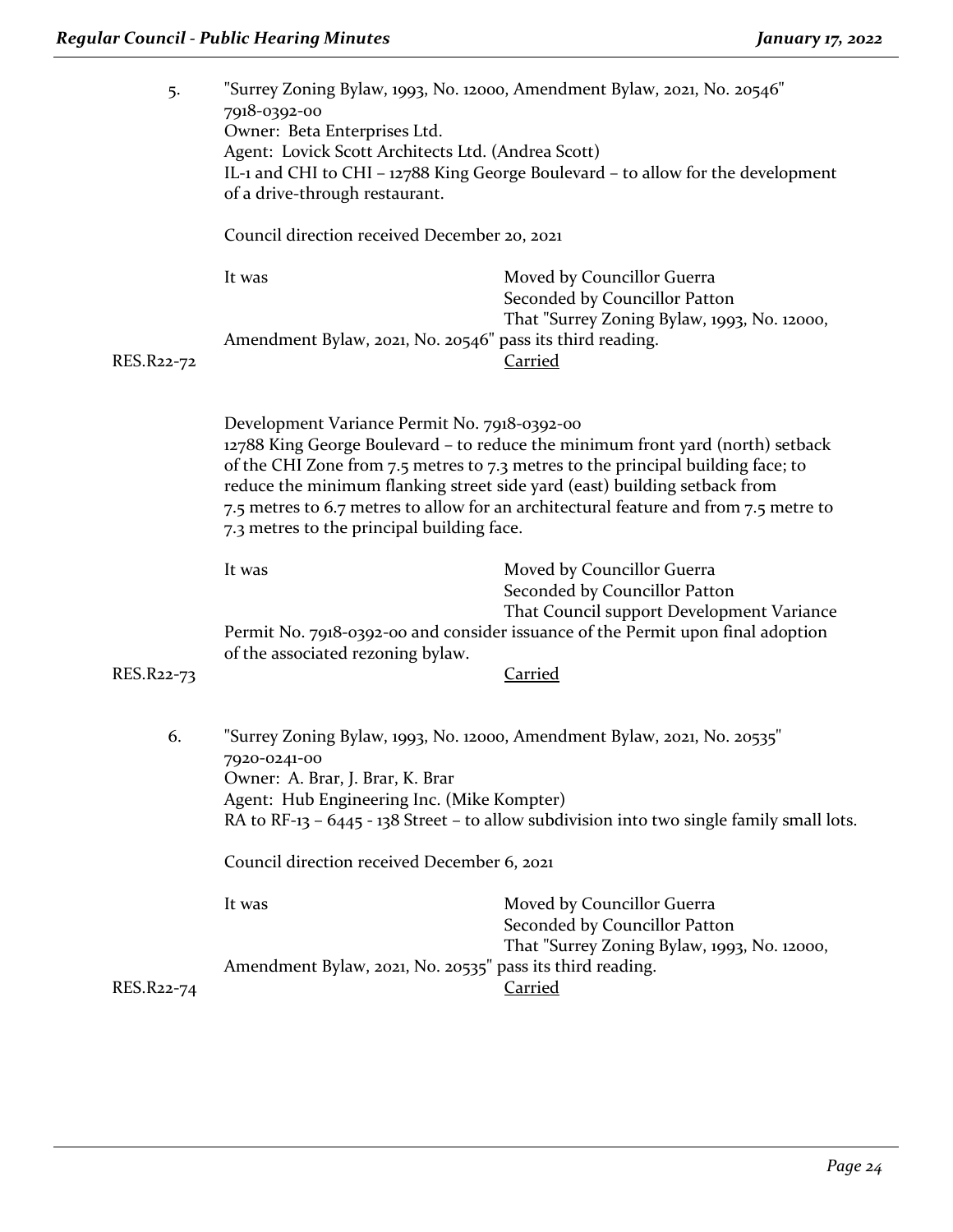| 5.         | "Surrey Zoning Bylaw, 1993, No. 12000, Amendment Bylaw, 2021, No. 20546"<br>7918-0392-00<br>Owner: Beta Enterprises Ltd.<br>Agent: Lovick Scott Architects Ltd. (Andrea Scott)<br>IL-1 and CHI to CHI - 12788 King George Boulevard - to allow for the development<br>of a drive-through restaurant.                                                                                                                                  |                                                                                                                                                                       |
|------------|---------------------------------------------------------------------------------------------------------------------------------------------------------------------------------------------------------------------------------------------------------------------------------------------------------------------------------------------------------------------------------------------------------------------------------------|-----------------------------------------------------------------------------------------------------------------------------------------------------------------------|
|            | Council direction received December 20, 2021                                                                                                                                                                                                                                                                                                                                                                                          |                                                                                                                                                                       |
|            | It was                                                                                                                                                                                                                                                                                                                                                                                                                                | Moved by Councillor Guerra<br>Seconded by Councillor Patton                                                                                                           |
| RES.R22-72 | Amendment Bylaw, 2021, No. 20546" pass its third reading.                                                                                                                                                                                                                                                                                                                                                                             | That "Surrey Zoning Bylaw, 1993, No. 12000,<br>Carried                                                                                                                |
|            | Development Variance Permit No. 7918-0392-00<br>12788 King George Boulevard - to reduce the minimum front yard (north) setback<br>of the CHI Zone from 7.5 metres to 7.3 metres to the principal building face; to<br>reduce the minimum flanking street side yard (east) building setback from<br>7.5 metres to 6.7 metres to allow for an architectural feature and from 7.5 metre to<br>7.3 metres to the principal building face. |                                                                                                                                                                       |
|            | It was                                                                                                                                                                                                                                                                                                                                                                                                                                | Moved by Councillor Guerra<br>Seconded by Councillor Patton                                                                                                           |
| RES.R22-73 | of the associated rezoning bylaw.                                                                                                                                                                                                                                                                                                                                                                                                     | That Council support Development Variance<br>Permit No. 7918-0392-00 and consider issuance of the Permit upon final adoption<br><b>Carried</b>                        |
| 6.         | 7920-0241-00<br>Owner: A. Brar, J. Brar, K. Brar<br>Agent: Hub Engineering Inc. (Mike Kompter)                                                                                                                                                                                                                                                                                                                                        | "Surrey Zoning Bylaw, 1993, No. 12000, Amendment Bylaw, 2021, No. 20535"<br>RA to RF-13 - 6445 - 138 Street - to allow subdivision into two single family small lots. |
|            | Council direction received December 6, 2021                                                                                                                                                                                                                                                                                                                                                                                           |                                                                                                                                                                       |
|            | It was                                                                                                                                                                                                                                                                                                                                                                                                                                | Moved by Councillor Guerra<br>Seconded by Councillor Patton<br>That "Surrey Zoning Bylaw, 1993, No. 12000,                                                            |
| RES.R22-74 | Amendment Bylaw, 2021, No. 20535" pass its third reading.                                                                                                                                                                                                                                                                                                                                                                             | Carried                                                                                                                                                               |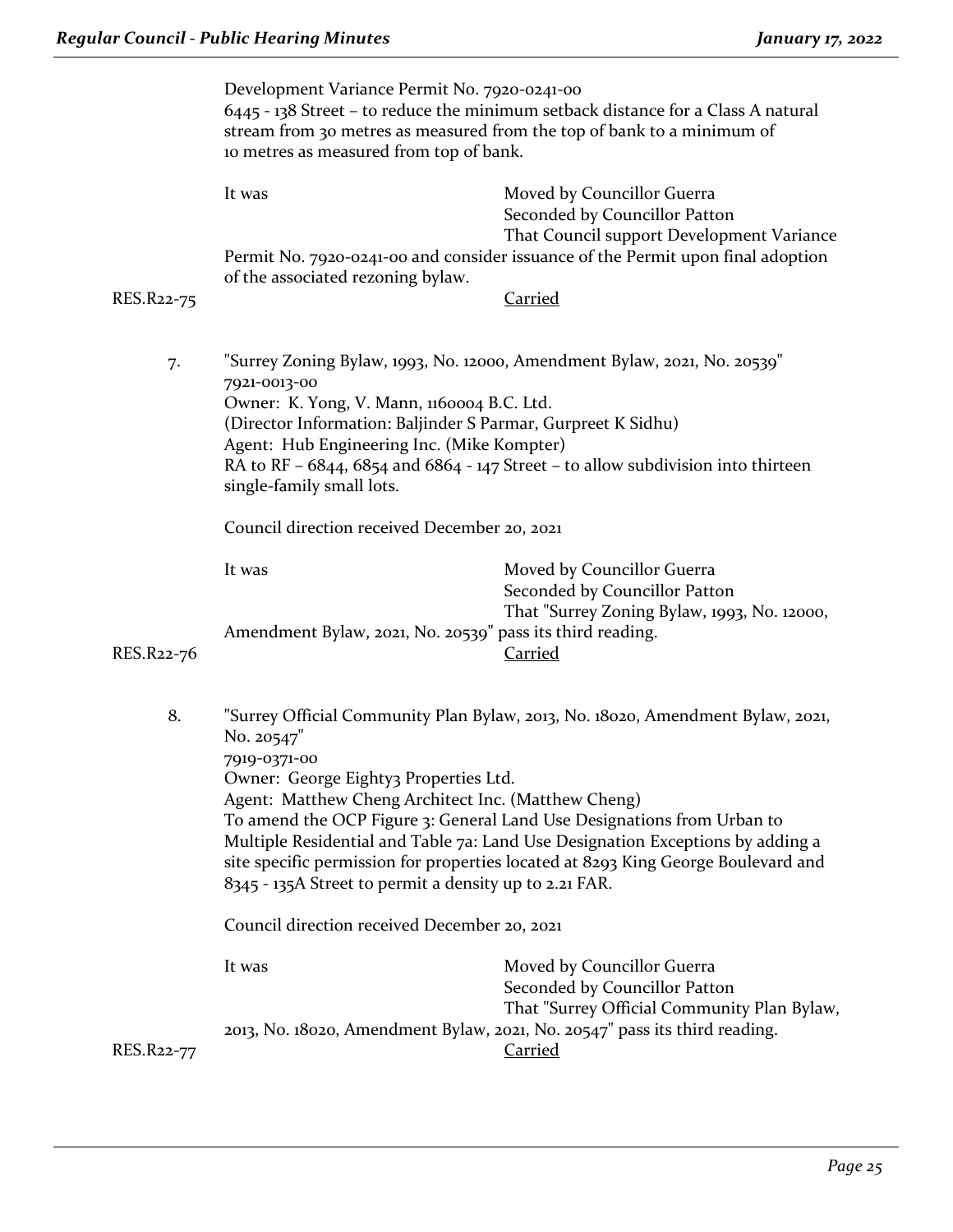|            | Development Variance Permit No. 7920-0241-00                                                                                                               |                                                                                                                                                          |  |
|------------|------------------------------------------------------------------------------------------------------------------------------------------------------------|----------------------------------------------------------------------------------------------------------------------------------------------------------|--|
|            | 6445 - 138 Street - to reduce the minimum setback distance for a Class A natural<br>stream from 30 metres as measured from the top of bank to a minimum of |                                                                                                                                                          |  |
|            | to metres as measured from top of bank.                                                                                                                    |                                                                                                                                                          |  |
|            | It was                                                                                                                                                     | Moved by Councillor Guerra<br>Seconded by Councillor Patton<br>That Council support Development Variance                                                 |  |
|            | of the associated rezoning bylaw.                                                                                                                          | Permit No. 7920-0241-00 and consider issuance of the Permit upon final adoption                                                                          |  |
| RES.R22-75 |                                                                                                                                                            | <b>Carried</b>                                                                                                                                           |  |
|            |                                                                                                                                                            |                                                                                                                                                          |  |
| 7.         | 7921-0013-00                                                                                                                                               | "Surrey Zoning Bylaw, 1993, No. 12000, Amendment Bylaw, 2021, No. 20539"                                                                                 |  |
|            | Owner: K. Yong, V. Mann, 1160004 B.C. Ltd.                                                                                                                 |                                                                                                                                                          |  |
|            | (Director Information: Baljinder S Parmar, Gurpreet K Sidhu)<br>Agent: Hub Engineering Inc. (Mike Kompter)                                                 |                                                                                                                                                          |  |
|            | single-family small lots.                                                                                                                                  | RA to RF $-6844$ , $6854$ and $6864 - 147$ Street - to allow subdivision into thirteen                                                                   |  |
|            | Council direction received December 20, 2021                                                                                                               |                                                                                                                                                          |  |
|            | It was                                                                                                                                                     | Moved by Councillor Guerra<br>Seconded by Councillor Patton<br>That "Surrey Zoning Bylaw, 1993, No. 12000,                                               |  |
| RES.R22-76 | Amendment Bylaw, 2021, No. 20539" pass its third reading.                                                                                                  | Carried                                                                                                                                                  |  |
| 8.         | No. 20547"<br>7919-0371-00                                                                                                                                 | "Surrey Official Community Plan Bylaw, 2013, No. 18020, Amendment Bylaw, 2021,                                                                           |  |
|            | Owner: George Eighty3 Properties Ltd.<br>Agent: Matthew Cheng Architect Inc. (Matthew Cheng)                                                               | To amend the OCP Figure 3: General Land Use Designations from Urban to<br>Multiple Residential and Table 7a: Land Use Designation Exceptions by adding a |  |
|            | 8345 - 135A Street to permit a density up to 2.21 FAR.                                                                                                     | site specific permission for properties located at 8293 King George Boulevard and                                                                        |  |
|            | Council direction received December 20, 2021                                                                                                               |                                                                                                                                                          |  |
|            | It was                                                                                                                                                     | Moved by Councillor Guerra<br>Seconded by Councillor Patton                                                                                              |  |
| RES.R22-77 |                                                                                                                                                            | That "Surrey Official Community Plan Bylaw,<br>2013, No. 18020, Amendment Bylaw, 2021, No. 20547" pass its third reading.<br><b>Carried</b>              |  |
|            |                                                                                                                                                            |                                                                                                                                                          |  |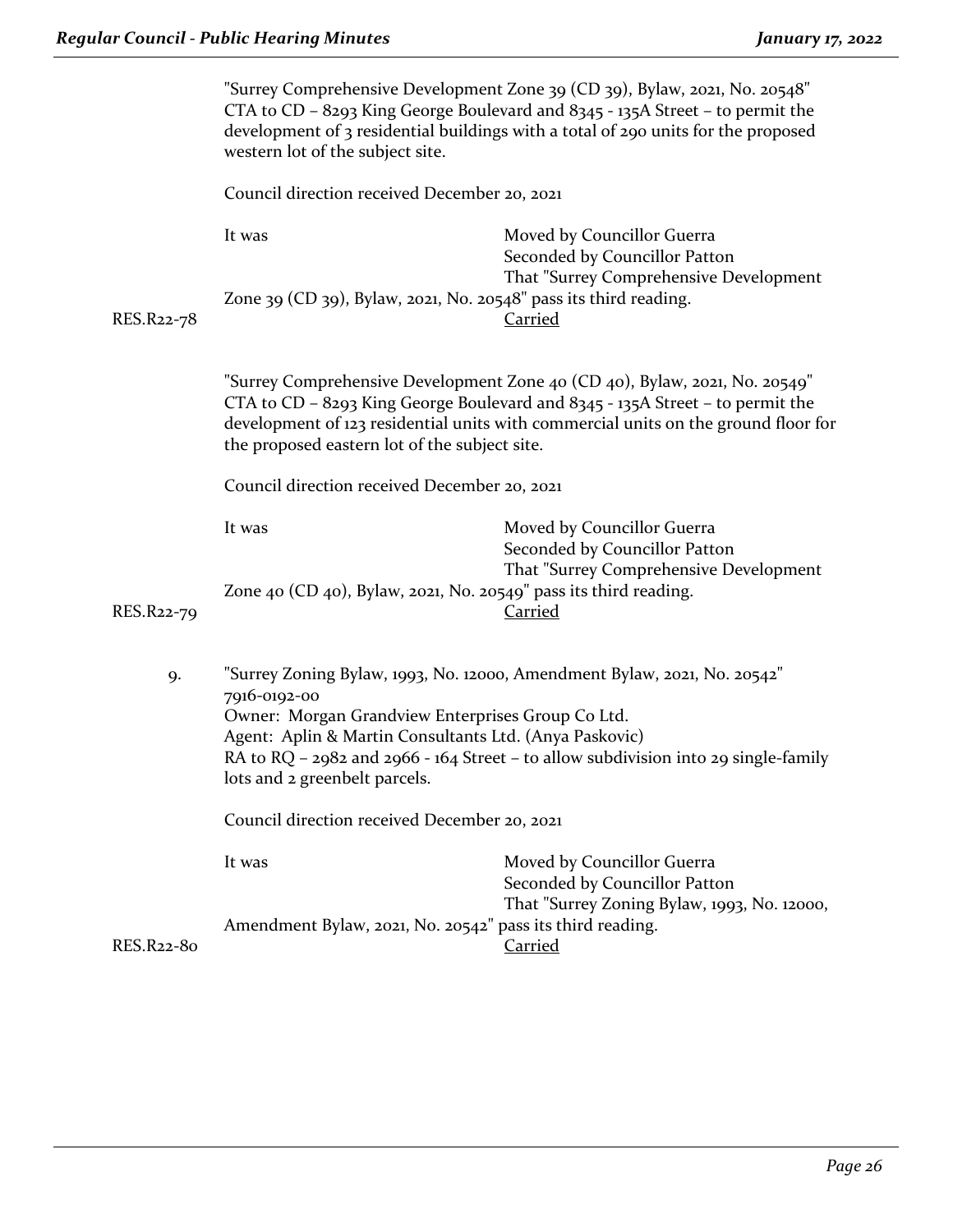|            | "Surrey Comprehensive Development Zone 39 (CD 39), Bylaw, 2021, No. 20548"<br>CTA to CD - 8293 King George Boulevard and 8345 - 135A Street - to permit the<br>development of 3 residential buildings with a total of 290 units for the proposed<br>western lot of the subject site. |                                                                                                                                                                                                                                                   |
|------------|--------------------------------------------------------------------------------------------------------------------------------------------------------------------------------------------------------------------------------------------------------------------------------------|---------------------------------------------------------------------------------------------------------------------------------------------------------------------------------------------------------------------------------------------------|
|            | Council direction received December 20, 2021                                                                                                                                                                                                                                         |                                                                                                                                                                                                                                                   |
|            | It was                                                                                                                                                                                                                                                                               | Moved by Councillor Guerra<br>Seconded by Councillor Patton<br>That "Surrey Comprehensive Development                                                                                                                                             |
| RES.R22-78 | Zone 39 (CD 39), Bylaw, 2021, No. 20548" pass its third reading.                                                                                                                                                                                                                     | <b>Carried</b>                                                                                                                                                                                                                                    |
|            | the proposed eastern lot of the subject site.                                                                                                                                                                                                                                        | "Surrey Comprehensive Development Zone 40 (CD 40), Bylaw, 2021, No. 20549"<br>CTA to CD - 8293 King George Boulevard and 8345 - 135A Street - to permit the<br>development of 123 residential units with commercial units on the ground floor for |
|            | Council direction received December 20, 2021                                                                                                                                                                                                                                         |                                                                                                                                                                                                                                                   |
|            | It was                                                                                                                                                                                                                                                                               | Moved by Councillor Guerra<br>Seconded by Councillor Patton<br>That "Surrey Comprehensive Development                                                                                                                                             |
| RES.R22-79 | Zone 40 (CD 40), Bylaw, 2021, No. 20549" pass its third reading.                                                                                                                                                                                                                     | <b>Carried</b>                                                                                                                                                                                                                                    |
| 9.         | 7916-0192-00<br>Owner: Morgan Grandview Enterprises Group Co Ltd.<br>Agent: Aplin & Martin Consultants Ltd. (Anya Paskovic)<br>lots and 2 greenbelt parcels.                                                                                                                         | "Surrey Zoning Bylaw, 1993, No. 12000, Amendment Bylaw, 2021, No. 20542"<br>RA to RQ - 2982 and 2966 - 164 Street - to allow subdivision into 29 single-family                                                                                    |
|            | Council direction received December 20, 2021                                                                                                                                                                                                                                         |                                                                                                                                                                                                                                                   |
|            | It was                                                                                                                                                                                                                                                                               | Moved by Councillor Guerra<br>Seconded by Councillor Patton<br>That "Surrey Zoning Bylaw, 1993, No. 12000,                                                                                                                                        |
| RES.R22-80 | Amendment Bylaw, 2021, No. 20542" pass its third reading.                                                                                                                                                                                                                            | <b>Carried</b>                                                                                                                                                                                                                                    |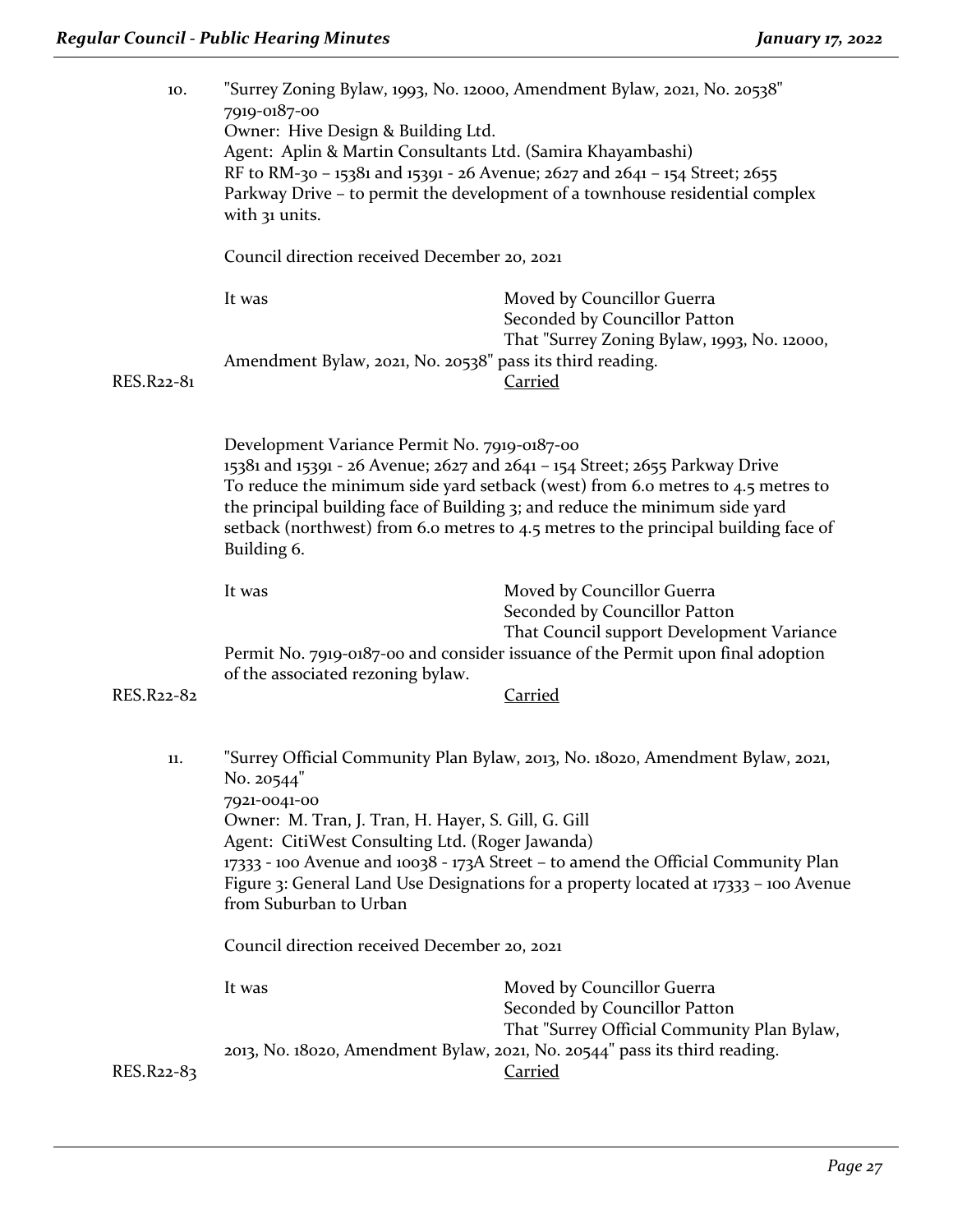| 10.        | 7919-0187-00<br>Owner: Hive Design & Building Ltd.<br>Agent: Aplin & Martin Consultants Ltd. (Samira Khayambashi)<br>with 31 units.<br>Council direction received December 20, 2021 | "Surrey Zoning Bylaw, 1993, No. 12000, Amendment Bylaw, 2021, No. 20538"<br>RF to RM-30 - 15381 and 15391 - 26 Avenue; 2627 and 2641 - 154 Street; 2655<br>Parkway Drive – to permit the development of a townhouse residential complex                                                                                              |
|------------|-------------------------------------------------------------------------------------------------------------------------------------------------------------------------------------|--------------------------------------------------------------------------------------------------------------------------------------------------------------------------------------------------------------------------------------------------------------------------------------------------------------------------------------|
|            | It was                                                                                                                                                                              | Moved by Councillor Guerra                                                                                                                                                                                                                                                                                                           |
| RES.R22-81 | Amendment Bylaw, 2021, No. 20538" pass its third reading.                                                                                                                           | Seconded by Councillor Patton<br>That "Surrey Zoning Bylaw, 1993, No. 12000,<br>Carried                                                                                                                                                                                                                                              |
|            | Development Variance Permit No. 7919-0187-00<br>Building 6.                                                                                                                         | 15381 and 15391 - 26 Avenue; 2627 and 2641 - 154 Street; 2655 Parkway Drive<br>To reduce the minimum side yard setback (west) from 6.0 metres to 4.5 metres to<br>the principal building face of Building 3; and reduce the minimum side yard<br>setback (northwest) from 6.0 metres to 4.5 metres to the principal building face of |
| RES.R22-82 | It was<br>of the associated rezoning bylaw.                                                                                                                                         | Moved by Councillor Guerra<br>Seconded by Councillor Patton<br>That Council support Development Variance<br>Permit No. 7919-0187-00 and consider issuance of the Permit upon final adoption<br><b>Carried</b>                                                                                                                        |
|            |                                                                                                                                                                                     |                                                                                                                                                                                                                                                                                                                                      |
| 11.        | No. 20544"<br>7921-0041-00<br>Owner: M. Tran, J. Tran, H. Hayer, S. Gill, G. Gill<br>Agent: CitiWest Consulting Ltd. (Roger Jawanda)<br>from Suburban to Urban                      | "Surrey Official Community Plan Bylaw, 2013, No. 18020, Amendment Bylaw, 2021,<br>17333 - 100 Avenue and 10038 - 173A Street - to amend the Official Community Plan<br>Figure 3: General Land Use Designations for a property located at 17333 - 100 Avenue                                                                          |
|            | Council direction received December 20, 2021                                                                                                                                        |                                                                                                                                                                                                                                                                                                                                      |
|            | It was                                                                                                                                                                              | Moved by Councillor Guerra<br>Seconded by Councillor Patton<br>That "Surrey Official Community Plan Bylaw,                                                                                                                                                                                                                           |
| RES.R22-83 |                                                                                                                                                                                     | 2013, No. 18020, Amendment Bylaw, 2021, No. 20544" pass its third reading.<br><b>Carried</b>                                                                                                                                                                                                                                         |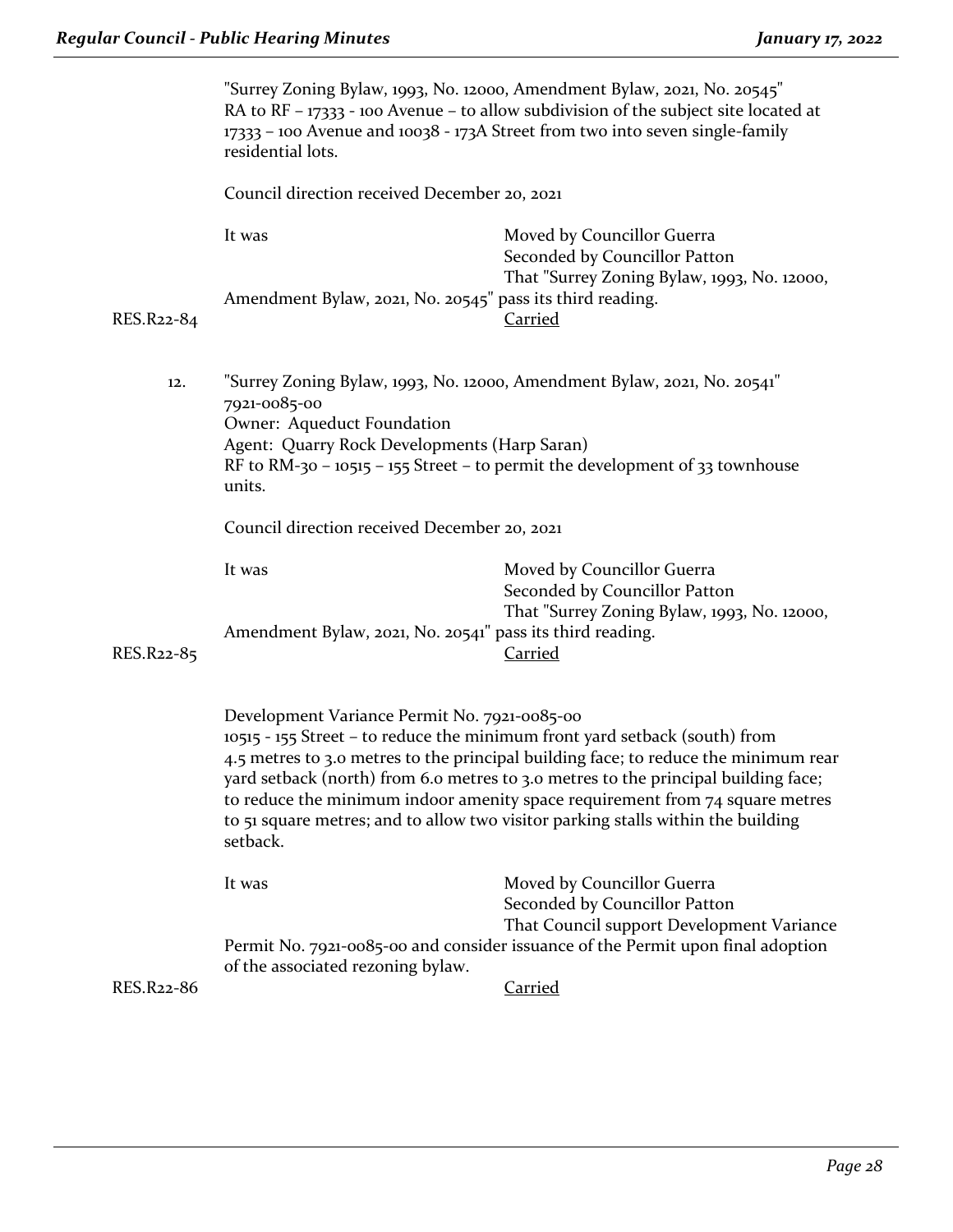|            | "Surrey Zoning Bylaw, 1993, No. 12000, Amendment Bylaw, 2021, No. 20545"<br>RA to RF - 17333 - 100 Avenue - to allow subdivision of the subject site located at<br>17333 - 100 Avenue and 10038 - 173A Street from two into seven single-family<br>residential lots. |                                                                                                                                                                                                                                                                                                                                                                                                                               |
|------------|----------------------------------------------------------------------------------------------------------------------------------------------------------------------------------------------------------------------------------------------------------------------|-------------------------------------------------------------------------------------------------------------------------------------------------------------------------------------------------------------------------------------------------------------------------------------------------------------------------------------------------------------------------------------------------------------------------------|
|            | Council direction received December 20, 2021                                                                                                                                                                                                                         |                                                                                                                                                                                                                                                                                                                                                                                                                               |
|            | It was<br>Amendment Bylaw, 2021, No. 20545" pass its third reading.                                                                                                                                                                                                  | Moved by Councillor Guerra<br>Seconded by Councillor Patton<br>That "Surrey Zoning Bylaw, 1993, No. 12000,                                                                                                                                                                                                                                                                                                                    |
| RES.R22-84 |                                                                                                                                                                                                                                                                      | <b>Carried</b>                                                                                                                                                                                                                                                                                                                                                                                                                |
| 12.        | "Surrey Zoning Bylaw, 1993, No. 12000, Amendment Bylaw, 2021, No. 20541"<br>7921-0085-00<br>Owner: Aqueduct Foundation<br>Agent: Quarry Rock Developments (Harp Saran)<br>RF to RM-30 - 10515 - 155 Street - to permit the development of 33 townhouse<br>units.     |                                                                                                                                                                                                                                                                                                                                                                                                                               |
|            | Council direction received December 20, 2021                                                                                                                                                                                                                         |                                                                                                                                                                                                                                                                                                                                                                                                                               |
| RES.R22-85 | It was<br>Amendment Bylaw, 2021, No. 20541" pass its third reading.                                                                                                                                                                                                  | Moved by Councillor Guerra<br>Seconded by Councillor Patton<br>That "Surrey Zoning Bylaw, 1993, No. 12000,<br><b>Carried</b>                                                                                                                                                                                                                                                                                                  |
|            |                                                                                                                                                                                                                                                                      |                                                                                                                                                                                                                                                                                                                                                                                                                               |
|            | Development Variance Permit No. 7921-0085-00<br>setback.                                                                                                                                                                                                             | 10515 - 155 Street - to reduce the minimum front yard setback (south) from<br>4.5 metres to 3.0 metres to the principal building face; to reduce the minimum rear<br>yard setback (north) from 6.0 metres to 3.0 metres to the principal building face;<br>to reduce the minimum indoor amenity space requirement from $74$ square metres<br>to 51 square metres; and to allow two visitor parking stalls within the building |
|            | It was                                                                                                                                                                                                                                                               | Moved by Councillor Guerra<br>Seconded by Councillor Patton                                                                                                                                                                                                                                                                                                                                                                   |
| RES.R22-86 | of the associated rezoning bylaw.                                                                                                                                                                                                                                    | That Council support Development Variance<br>Permit No. 7921-0085-00 and consider issuance of the Permit upon final adoption<br><b>Carried</b>                                                                                                                                                                                                                                                                                |
|            |                                                                                                                                                                                                                                                                      |                                                                                                                                                                                                                                                                                                                                                                                                                               |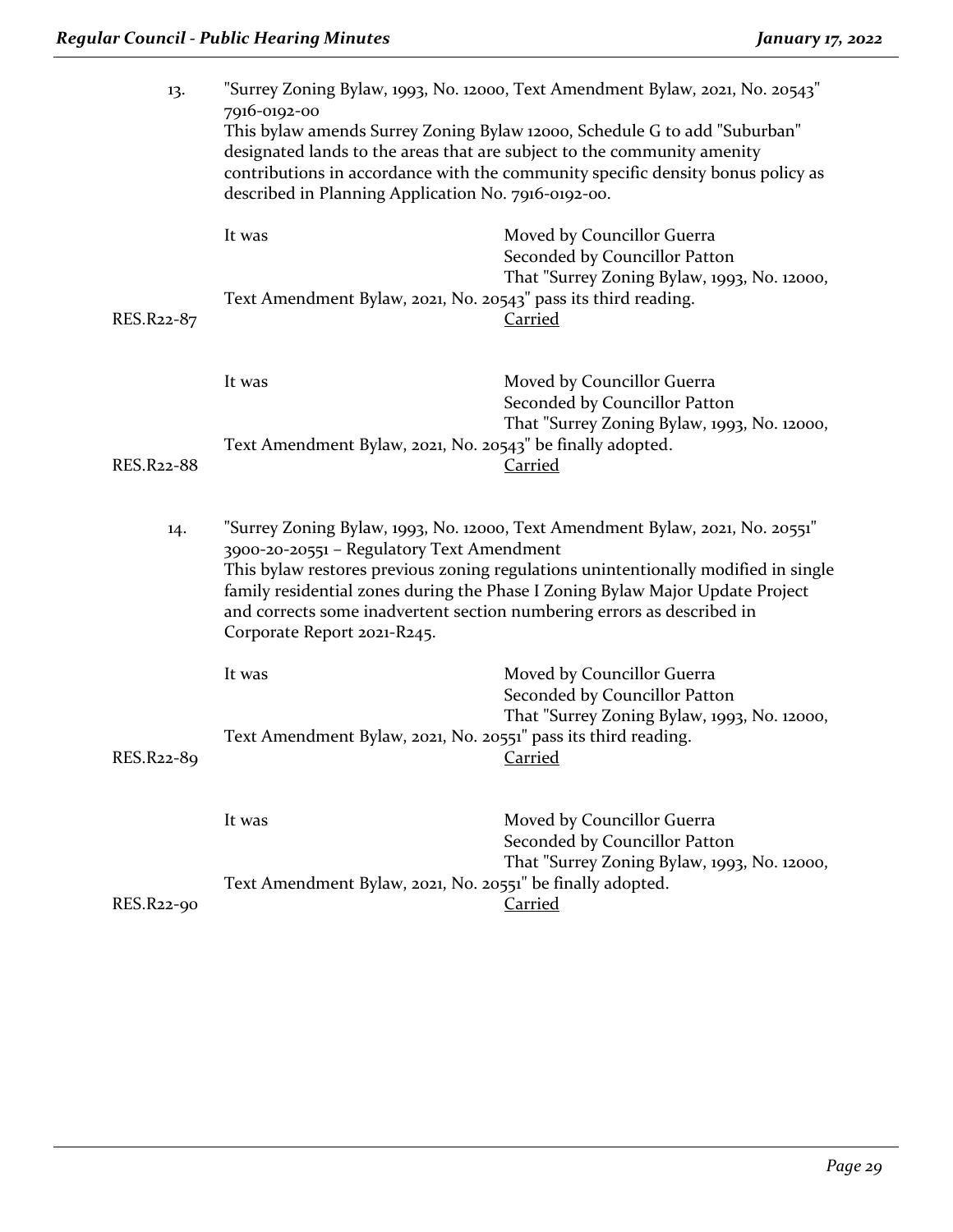| 13.        | "Surrey Zoning Bylaw, 1993, No. 12000, Text Amendment Bylaw, 2021, No. 20543"                                                                                                                                                                                                                                                                                                                              |                                                                                                                              |  |
|------------|------------------------------------------------------------------------------------------------------------------------------------------------------------------------------------------------------------------------------------------------------------------------------------------------------------------------------------------------------------------------------------------------------------|------------------------------------------------------------------------------------------------------------------------------|--|
|            | 7916-0192-00<br>This bylaw amends Surrey Zoning Bylaw 12000, Schedule G to add "Suburban"<br>designated lands to the areas that are subject to the community amenity<br>contributions in accordance with the community specific density bonus policy as<br>described in Planning Application No. 7916-0192-00.                                                                                             |                                                                                                                              |  |
| RES.R22-87 | It was<br>Text Amendment Bylaw, 2021, No. 20543" pass its third reading.                                                                                                                                                                                                                                                                                                                                   | Moved by Councillor Guerra<br>Seconded by Councillor Patton<br>That "Surrey Zoning Bylaw, 1993, No. 12000,<br><b>Carried</b> |  |
|            |                                                                                                                                                                                                                                                                                                                                                                                                            |                                                                                                                              |  |
|            | It was                                                                                                                                                                                                                                                                                                                                                                                                     | Moved by Councillor Guerra<br>Seconded by Councillor Patton<br>That "Surrey Zoning Bylaw, 1993, No. 12000,                   |  |
| RES.R22-88 | Text Amendment Bylaw, 2021, No. 20543" be finally adopted.                                                                                                                                                                                                                                                                                                                                                 | <b>Carried</b>                                                                                                               |  |
| 14.        | "Surrey Zoning Bylaw, 1993, No. 12000, Text Amendment Bylaw, 2021, No. 20551"<br>3900-20-20551 - Regulatory Text Amendment<br>This bylaw restores previous zoning regulations unintentionally modified in single<br>family residential zones during the Phase I Zoning Bylaw Major Update Project<br>and corrects some inadvertent section numbering errors as described in<br>Corporate Report 2021-R245. |                                                                                                                              |  |
|            | It was                                                                                                                                                                                                                                                                                                                                                                                                     | Moved by Councillor Guerra<br>Seconded by Councillor Patton                                                                  |  |
| RES.R22-89 | Text Amendment Bylaw, 2021, No. 20551" pass its third reading.                                                                                                                                                                                                                                                                                                                                             | That "Surrey Zoning Bylaw, 1993, No. 12000,<br><b>Carried</b>                                                                |  |
|            |                                                                                                                                                                                                                                                                                                                                                                                                            |                                                                                                                              |  |
|            | It was                                                                                                                                                                                                                                                                                                                                                                                                     | Moved by Councillor Guerra<br>Seconded by Councillor Patton<br>That "Surrey Zoning Bylaw, 1993, No. 12000,                   |  |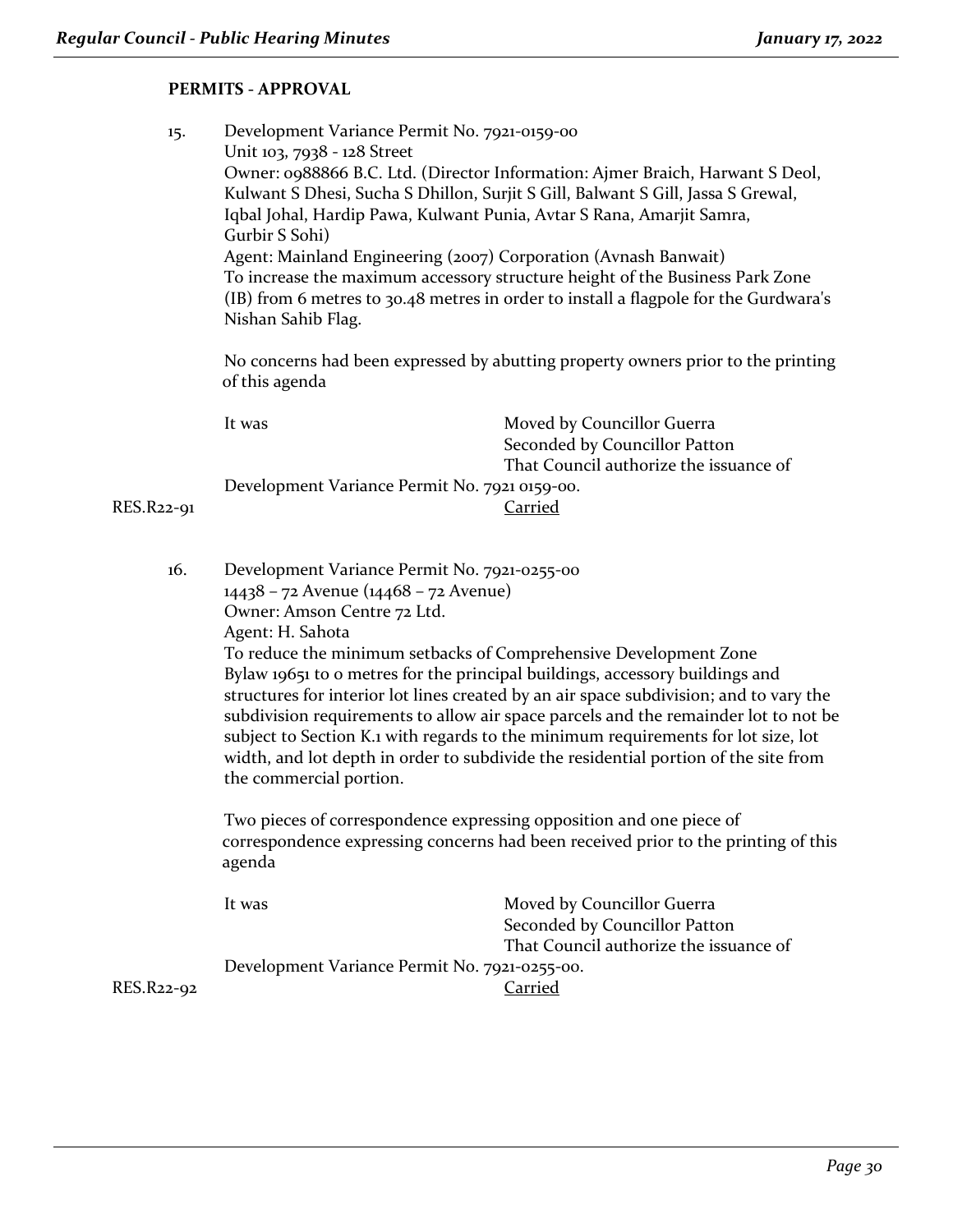### **PERMITS - APPROVAL**

| 15.        | Development Variance Permit No. 7921-0159-00<br>Unit 103, 7938 - 128 Street<br>Owner: 0988866 B.C. Ltd. (Director Information: Ajmer Braich, Harwant S Deol,<br>Kulwant S Dhesi, Sucha S Dhillon, Surjit S Gill, Balwant S Gill, Jassa S Grewal,<br>Iqbal Johal, Hardip Pawa, Kulwant Punia, Avtar S Rana, Amarjit Samra,<br>Gurbir S Sohi)<br>Agent: Mainland Engineering (2007) Corporation (Avnash Banwait)<br>To increase the maximum accessory structure height of the Business Park Zone<br>(IB) from 6 metres to 30.48 metres in order to install a flagpole for the Gurdwara's<br>Nishan Sahib Flag.                                                                         |                                                                                                                         |  |
|------------|--------------------------------------------------------------------------------------------------------------------------------------------------------------------------------------------------------------------------------------------------------------------------------------------------------------------------------------------------------------------------------------------------------------------------------------------------------------------------------------------------------------------------------------------------------------------------------------------------------------------------------------------------------------------------------------|-------------------------------------------------------------------------------------------------------------------------|--|
|            | No concerns had been expressed by abutting property owners prior to the printing<br>of this agenda                                                                                                                                                                                                                                                                                                                                                                                                                                                                                                                                                                                   |                                                                                                                         |  |
| RES.R22-91 | It was<br>Development Variance Permit No. 7921 0159-00.                                                                                                                                                                                                                                                                                                                                                                                                                                                                                                                                                                                                                              | Moved by Councillor Guerra<br>Seconded by Councillor Patton<br>That Council authorize the issuance of<br><b>Carried</b> |  |
| 16.        | Development Variance Permit No. 7921-0255-00<br>14438 - 72 Avenue (14468 - 72 Avenue)<br>Owner: Amson Centre 72 Ltd.<br>Agent: H. Sahota<br>To reduce the minimum setbacks of Comprehensive Development Zone<br>Bylaw 19651 to o metres for the principal buildings, accessory buildings and<br>structures for interior lot lines created by an air space subdivision; and to vary the<br>subdivision requirements to allow air space parcels and the remainder lot to not be<br>subject to Section K.1 with regards to the minimum requirements for lot size, lot<br>width, and lot depth in order to subdivide the residential portion of the site from<br>the commercial portion. |                                                                                                                         |  |
|            | Two pieces of correspondence expressing opposition and one piece of<br>correspondence expressing concerns had been received prior to the printing of this<br>agenda                                                                                                                                                                                                                                                                                                                                                                                                                                                                                                                  |                                                                                                                         |  |
|            | It was                                                                                                                                                                                                                                                                                                                                                                                                                                                                                                                                                                                                                                                                               | Moved by Councillor Guerra<br>Seconded by Councillor Patton<br>That Council authorize the issuance of                   |  |
| RES.R22-92 | Development Variance Permit No. 7921-0255-00.                                                                                                                                                                                                                                                                                                                                                                                                                                                                                                                                                                                                                                        | <b>Carried</b>                                                                                                          |  |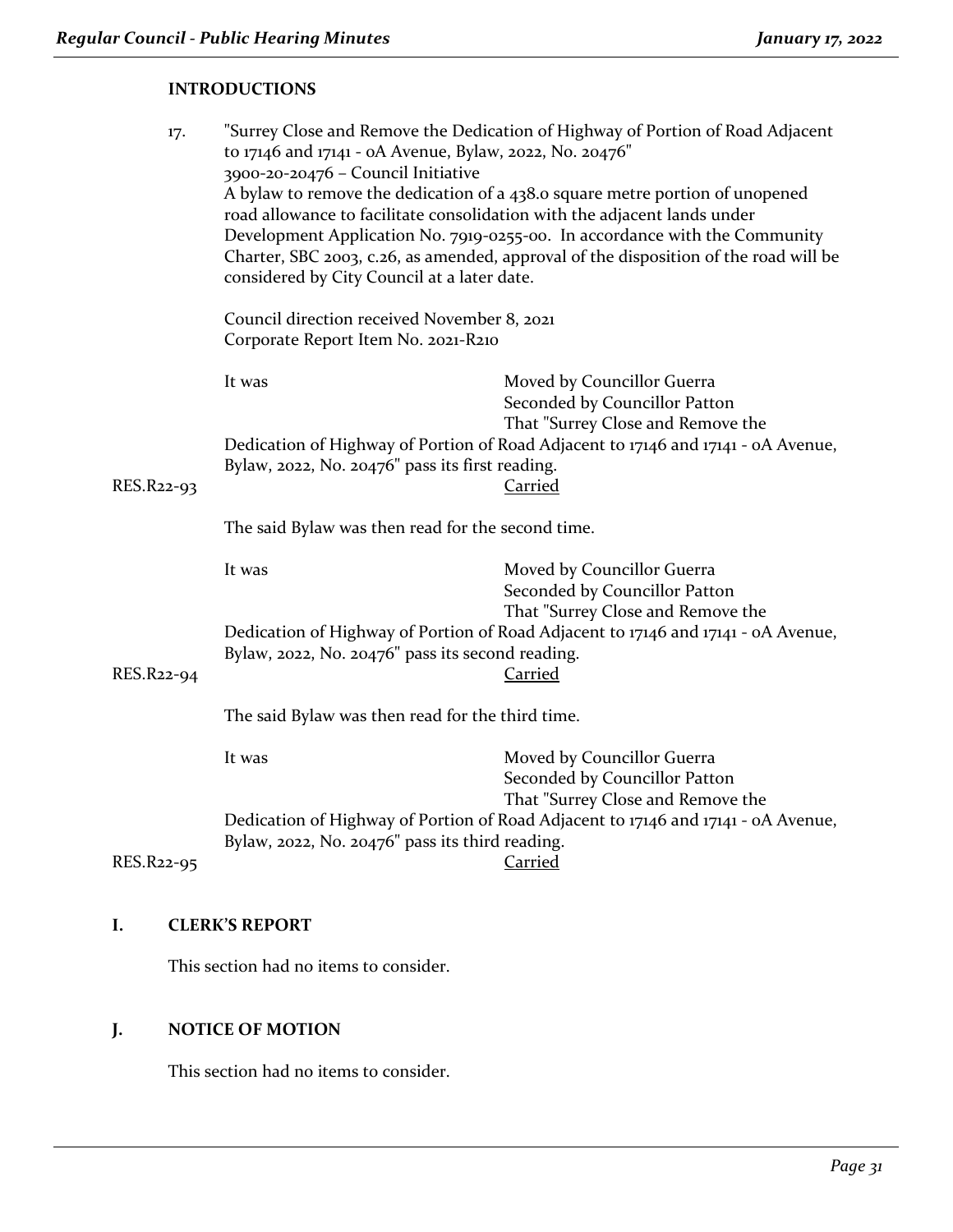#### **INTRODUCTIONS**

| 17.        | "Surrey Close and Remove the Dedication of Highway of Portion of Road Adjacent<br>to 17146 and 17141 - oA Avenue, Bylaw, 2022, No. 20476"<br>3900-20-20476 - Council Initiative<br>A bylaw to remove the dedication of a 438.0 square metre portion of unopened<br>road allowance to facilitate consolidation with the adjacent lands under<br>Development Application No. 7919-0255-00. In accordance with the Community<br>Charter, SBC 2003, c.26, as amended, approval of the disposition of the road will be<br>considered by City Council at a later date. |                                                                                                                                                                                       |  |
|------------|------------------------------------------------------------------------------------------------------------------------------------------------------------------------------------------------------------------------------------------------------------------------------------------------------------------------------------------------------------------------------------------------------------------------------------------------------------------------------------------------------------------------------------------------------------------|---------------------------------------------------------------------------------------------------------------------------------------------------------------------------------------|--|
|            | Council direction received November 8, 2021<br>Corporate Report Item No. 2021-R210                                                                                                                                                                                                                                                                                                                                                                                                                                                                               |                                                                                                                                                                                       |  |
|            | It was                                                                                                                                                                                                                                                                                                                                                                                                                                                                                                                                                           | Moved by Councillor Guerra<br>Seconded by Councillor Patton<br>That "Surrey Close and Remove the<br>Dedication of Highway of Portion of Road Adjacent to 17146 and 17141 - oA Avenue, |  |
| RES.R22-93 | Bylaw, 2022, No. 20476" pass its first reading.                                                                                                                                                                                                                                                                                                                                                                                                                                                                                                                  | <b>Carried</b>                                                                                                                                                                        |  |
|            | The said Bylaw was then read for the second time.                                                                                                                                                                                                                                                                                                                                                                                                                                                                                                                |                                                                                                                                                                                       |  |
|            | It was                                                                                                                                                                                                                                                                                                                                                                                                                                                                                                                                                           | Moved by Councillor Guerra<br>Seconded by Councillor Patton<br>That "Surrey Close and Remove the                                                                                      |  |
|            | Dedication of Highway of Portion of Road Adjacent to 17146 and 17141 - oA Avenue,<br>Bylaw, 2022, No. 20476" pass its second reading.                                                                                                                                                                                                                                                                                                                                                                                                                            |                                                                                                                                                                                       |  |
| RES.R22-94 |                                                                                                                                                                                                                                                                                                                                                                                                                                                                                                                                                                  | Carried                                                                                                                                                                               |  |
|            | The said Bylaw was then read for the third time.                                                                                                                                                                                                                                                                                                                                                                                                                                                                                                                 |                                                                                                                                                                                       |  |
|            | It was                                                                                                                                                                                                                                                                                                                                                                                                                                                                                                                                                           | Moved by Councillor Guerra<br>Seconded by Councillor Patton<br>That "Surrey Close and Remove the                                                                                      |  |
|            | Dedication of Highway of Portion of Road Adjacent to 17146 and 17141 - oA Avenue,                                                                                                                                                                                                                                                                                                                                                                                                                                                                                |                                                                                                                                                                                       |  |
| RES.R22-95 | Bylaw, 2022, No. 20476" pass its third reading.                                                                                                                                                                                                                                                                                                                                                                                                                                                                                                                  | <b>Carried</b>                                                                                                                                                                        |  |

#### **I. CLERK'S REPORT**

This section had no items to consider.

#### **J. NOTICE OF MOTION**

This section had no items to consider.